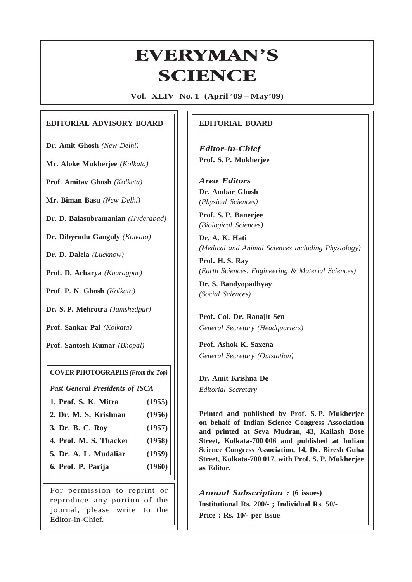# **Everyman's Science VOL. XLIV NO. 1, April — May '09** EVERYMAN'S **ERYMAN<br>SCIENCE**

**Vol. XLIV No. 1 (April '09 – May'09)**

#### **EDITORIAL ADVISORY BOARD**

**Dr. Amit Ghosh** *(New Delhi)*

**Mr. Aloke Mukherjee** *(Kolkata)*

**Prof. Amitav Ghosh** *(Kolkata)*

**Mr. Biman Basu** *(New Delhi)*

**Dr. D. Balasubramanian** *(Hyderabad)*

**Dr. Dibyendu Ganguly** *(Kolkata)*

**Dr. D. Dalela** *(Lucknow)*

**Prof. D. Acharya** *(Kharagpur)*

**Prof. P. N. Ghosh** *(Kolkata)*

**Dr. S. P. Mehrotra** *(Jamshedpur)*

**Prof. Sankar Pal** *(Kolkata)*

**Prof. Santosh Kumar** *(Bhopal)*

#### **COVER PHOTOGRAPHS** *(From the Top)*

*Past General Presidents of ISCA*

- **1. Prof. S. K. Mitra (1955)**
- **2. Dr. M. S. Krishnan (1956)**
- **3. Dr. B. C. Roy (1957)**
- **4. Prof. M. S. Thacker (1958)**
- **5. Dr. A. L. Mudaliar (1959)**
- **6. Prof. P. Parija (1960)**

For permission to reprint or reproduce any portion of the journal, please write to the Editor-in-Chief.

#### **EDITORIAL BOARD**

*Editor-in-Chief* **Prof. S. P. Mukherjee**

*Area Editors* **Dr. Ambar Ghosh** *(Physical Sciences)*

**Prof. S. P. Banerjee** *(Biological Sciences)*

**Dr. A. K. Hati** *(Medical and Animal Sciences including Physiology)*

**Prof. H. S. Ray** *(Earth Sciences, Engineering & Material Sciences)*

**Dr. S. Bandyopadhyay** *(Social Sciences)*

**Prof. Col. Dr. Ranajit Sen** *General Secretary (Headquarters)*

**Prof. Ashok K. Saxena** *General Secretary (Outstation)*

**Dr. Amit Krishna De** *Editorial Secretary*

1

**Printed and published by Prof. S. P. Mukherjee on behalf of Indian Science Congress Association and printed at Seva Mudran, 43, Kailash Bose Street, Kolkata-700 006 and published at Indian Science Congress Association, 14, Dr. Biresh Guha Street, Kolkata-700 017, with Prof. S. P. Mukherjee as Editor.**

*Annual Subscription :* **(6 issues) Institutional Rs. 200/- ; Individual Rs. 50/- Price : Rs. 10/- per issue**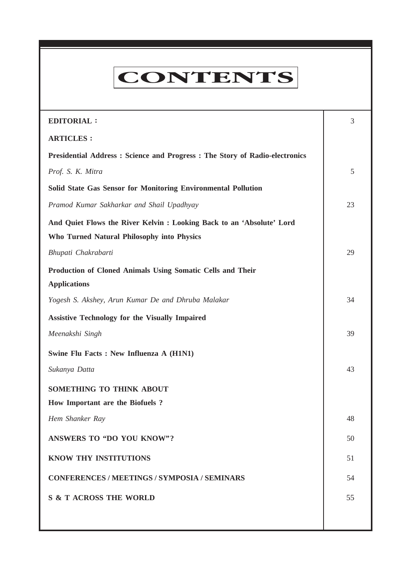# CONTENTS

**Everyman's Science VOL. XLIV NO. 1, April — May '09**

| <b>EDITORIAL:</b>                                                            | 3  |
|------------------------------------------------------------------------------|----|
| <b>ARTICLES:</b>                                                             |    |
| Presidential Address : Science and Progress : The Story of Radio-electronics |    |
| Prof. S. K. Mitra                                                            | 5  |
| Solid State Gas Sensor for Monitoring Environmental Pollution                |    |
| Pramod Kumar Sakharkar and Shail Upadhyay                                    | 23 |
| And Quiet Flows the River Kelvin: Looking Back to an 'Absolute' Lord         |    |
| Who Turned Natural Philosophy into Physics                                   |    |
| Bhupati Chakrabarti                                                          | 29 |
| Production of Cloned Animals Using Somatic Cells and Their                   |    |
| <b>Applications</b>                                                          |    |
| Yogesh S. Akshey, Arun Kumar De and Dhruba Malakar                           | 34 |
| <b>Assistive Technology for the Visually Impaired</b>                        |    |
| Meenakshi Singh                                                              | 39 |
| Swine Flu Facts : New Influenza A (H1N1)                                     |    |
| Sukanya Datta                                                                | 43 |
| SOMETHING TO THINK ABOUT                                                     |    |
| How Important are the Biofuels?                                              |    |
| Hem Shanker Ray                                                              | 48 |
| <b>ANSWERS TO "DO YOU KNOW"?</b>                                             | 50 |
| <b>KNOW THY INSTITUTIONS</b>                                                 | 51 |
| <b>CONFERENCES / MEETINGS / SYMPOSIA / SEMINARS</b>                          | 54 |
| <b>S &amp; T ACROSS THE WORLD</b>                                            | 55 |
|                                                                              |    |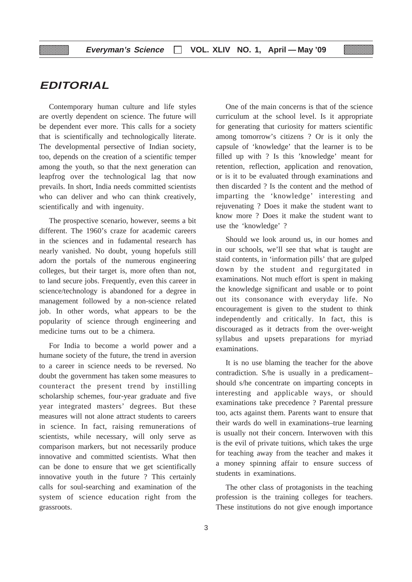## **EDITORIAL**

▒

Contemporary human culture and life styles are overtly dependent on science. The future will be dependent ever more. This calls for a society that is scientifically and technologically literate. The developmental persective of Indian society, too, depends on the creation of a scientific temper among the youth, so that the next generation can leapfrog over the technological lag that now prevails. In short, India needs committed scientists who can deliver and who can think creatively, scientifically and with ingenuity.

The prospective scenario, however, seems a bit different. The 1960's craze for academic careers in the sciences and in fudamental research has nearly vanished. No doubt, young hopefuls still adorn the portals of the numerous engineering colleges, but their target is, more often than not, to land secure jobs. Frequently, even this career in science/technology is abandoned for a degree in management followed by a non-science related job. In other words, what appears to be the popularity of science through engineering and medicine turns out to be a chimera.

For India to become a world power and a humane society of the future, the trend in aversion to a career in science needs to be reversed. No doubt the government has taken some measures to counteract the present trend by instilling scholarship schemes, four-year graduate and five year integrated masters' degrees. But these measures will not alone attract students to careers in science. In fact, raising remunerations of scientists, while necessary, will only serve as comparison markers, but not necessarily produce innovative and committed scientists. What then can be done to ensure that we get scientifically innovative youth in the future ? This certainly calls for soul-searching and examination of the system of science education right from the grassroots.

One of the main concerns is that of the science curriculum at the school level. Is it appropriate for generating that curiosity for matters scientific among tomorrow's citizens ? Or is it only the capsule of 'knowledge' that the learner is to be filled up with ? Is this 'knowledge' meant for retention, reflection, application and renovation, or is it to be evaluated through examinations and then discarded ? Is the content and the method of imparting the 'knowledge' interesting and rejuvenating ? Does it make the student want to know more ? Does it make the student want to use the 'knowledge' ?

Should we look around us, in our homes and in our schools, we'll see that what is taught are staid contents, in 'information pills' that are gulped down by the student and regurgitated in examinations. Not much effort is spent in making the knowledge significant and usable or to point out its consonance with everyday life. No encouragement is given to the student to think independently and critically. In fact, this is discouraged as it detracts from the over-weight syllabus and upsets preparations for myriad examinations.

It is no use blaming the teacher for the above contradiction. S/he is usually in a predicament– should s/he concentrate on imparting concepts in interesting and applicable ways, or should examinations take precedence ? Parental pressure too, acts against them. Parents want to ensure that their wards do well in examinations–true learning is usually not their concern. Interwoven with this is the evil of private tuitions, which takes the urge for teaching away from the teacher and makes it a money spinning affair to ensure success of students in examinations.

The other class of protagonists in the teaching profession is the training colleges for teachers. These institutions do not give enough importance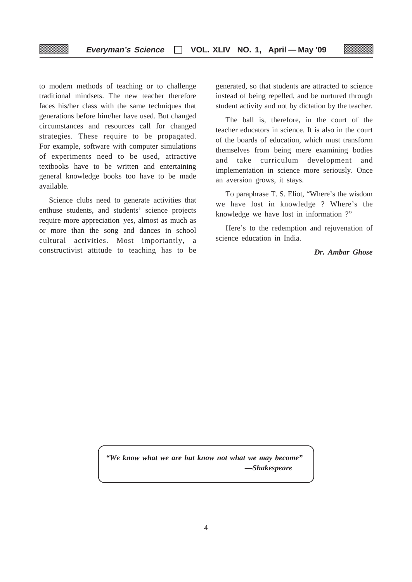#### **Everyman's Science VOL. XLIV NO. 1, April — May '09**

to modern methods of teaching or to challenge traditional mindsets. The new teacher therefore faces his/her class with the same techniques that generations before him/her have used. But changed circumstances and resources call for changed strategies. These require to be propagated. For example, software with computer simulations of experiments need to be used, attractive textbooks have to be written and entertaining general knowledge books too have to be made available.

Science clubs need to generate activities that enthuse students, and students' science projects require more appreciation–yes, almost as much as or more than the song and dances in school cultural activities. Most importantly, a constructivist attitude to teaching has to be

generated, so that students are attracted to science instead of being repelled, and be nurtured through student activity and not by dictation by the teacher.

The ball is, therefore, in the court of the teacher educators in science. It is also in the court of the boards of education, which must transform themselves from being mere examining bodies and take curriculum development and implementation in science more seriously. Once an aversion grows, it stays.

To paraphrase T. S. Eliot, "Where's the wisdom we have lost in knowledge ? Where's the knowledge we have lost in information ?"

Here's to the redemption and rejuvenation of science education in India.

*Dr. Ambar Ghose*

*"We know what we are but know not what we may become" —Shakespeare*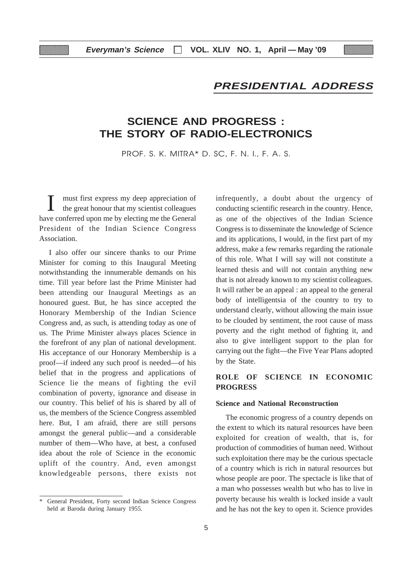## **PRESIDENTIAL ADDRESS**

## **SCIENCE AND PROGRESS : THE STORY OF RADIO-ELECTRONICS**

PROF. S. K. MITRA\* D. SC, F. N. I., F. A. S.

I must first express my deep appreciation of the great honour that my scientist colleagues have conferred upon me by electing me the General President of the Indian Science Congress Association.

I also offer our sincere thanks to our Prime Minister for coming to this Inaugural Meeting notwithstanding the innumerable demands on his time. Till year before last the Prime Minister had been attending our Inaugural Meetings as an honoured guest. But, he has since accepted the Honorary Membership of the Indian Science Congress and, as such, is attending today as one of us. The Prime Minister always places Science in the forefront of any plan of national development. His acceptance of our Honorary Membership is a proof—if indeed any such proof is needed—of his belief that in the progress and applications of Science lie the means of fighting the evil combination of poverty, ignorance and disease in our country. This belief of his is shared by all of us, the members of the Science Congress assembled here. But, I am afraid, there are still persons amongst the general public—and a considerable number of them—Who have, at best, a confused idea about the role of Science in the economic uplift of the country. And, even amongst knowledgeable persons, there exists not

infrequently, a doubt about the urgency of conducting scientific research in the country. Hence, as one of the objectives of the Indian Science Congress is to disseminate the knowledge of Science and its applications, I would, in the first part of my address, make a few remarks regarding the rationale of this role. What I will say will not constitute a learned thesis and will not contain anything new that is not already known to my scientist colleagues. It will rather be an appeal : an appeal to the general body of intelligentsia of the country to try to understand clearly, without allowing the main issue to be clouded by sentiment, the root cause of mass poverty and the right method of fighting it, and also to give intelligent support to the plan for carrying out the fight—the Five Year Plans adopted by the State.

#### **ROLE OF SCIENCE IN ECONOMIC PROGRESS**

#### **Science and National Reconstruction**

The economic progress of a country depends on the extent to which its natural resources have been exploited for creation of wealth, that is, for production of commodities of human need. Without such exploitation there may be the curious spectacle of a country which is rich in natural resources but whose people are poor. The spectacle is like that of a man who possesses wealth but who has to live in poverty because his wealth is locked inside a vault and he has not the key to open it. Science provides

<sup>\*</sup> General President, Forty second Indian Science Congress held at Baroda during January 1955.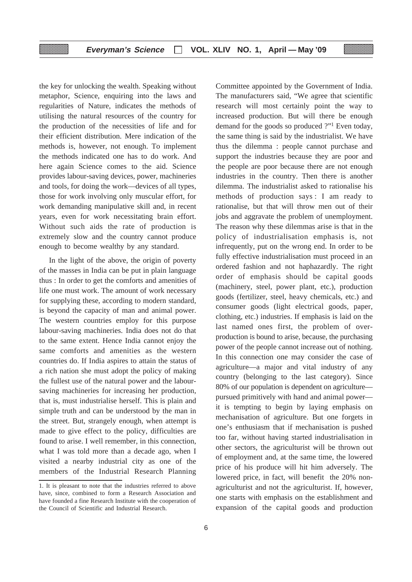the key for unlocking the wealth. Speaking without metaphor, Science, enquiring into the laws and regularities of Nature, indicates the methods of utilising the natural resources of the country for the production of the necessities of life and for their efficient distribution. Mere indication of the methods is, however, not enough. To implement the methods indicated one has to do work. And here again Science comes to the aid. Science provides labour-saving devices, power, machineries and tools, for doing the work—devices of all types, those for work involving only muscular effort, for work demanding manipulative skill and, in recent years, even for work necessitating brain effort. Without such aids the rate of production is extremely slow and the country cannot produce enough to become wealthy by any standard.

In the light of the above, the origin of poverty of the masses in India can be put in plain language thus : In order to get the comforts and amenities of life one must work. The amount of work necessary for supplying these, according to modern standard, is beyond the capacity of man and animal power. The western countries employ for this purpose labour-saving machineries. India does not do that to the same extent. Hence India cannot enjoy the same comforts and amenities as the western countries do. If India aspires to attain the status of a rich nation she must adopt the policy of making the fullest use of the natural power and the laboursaving machineries for increasing her production, that is, must industrialise herself. This is plain and simple truth and can be understood by the man in the street. But, strangely enough, when attempt is made to give effect to the policy, difficulties are found to arise. I well remember, in this connection, what I was told more than a decade ago, when I visited a nearby industrial city as one of the members of the Industrial Research Planning

Committee appointed by the Government of India. The manufacturers said, "We agree that scientific research will most certainly point the way to increased production. But will there be enough demand for the goods so produced ?"1 Even today, the same thing is said by the industrialist. We have thus the dilemma : people cannot purchase and support the industries because they are poor and the people are poor because there are not enough industries in the country. Then there is another dilemma. The industrialist asked to rationalise his methods of production says : I am ready to rationalise, but that will throw men out of their jobs and aggravate the problem of unemployment. The reason why these dilemmas arise is that in the policy of industrialisation emphasis is, not infrequently, put on the wrong end. In order to be fully effective industrialisation must proceed in an ordered fashion and not haphazardly. The right order of emphasis should be capital goods (machinery, steel, power plant, etc.), production goods (fertilizer, steel, heavy chemicals, etc.) and consumer goods (light electrical goods, paper, clothing, etc.) industries. If emphasis is laid on the last named ones first, the problem of overproduction is bound to arise, because, the purchasing power of the people cannot increase out of nothing. In this connection one may consider the case of agriculture—a major and vital industry of any country (belonging to the last category). Since 80% of our population is dependent on agriculture pursued primitively with hand and animal power it is tempting to begin by laying emphasis on mechanisation of agriculture. But one forgets in one's enthusiasm that if mechanisation is pushed too far, without having started industrialisation in other sectors, the agriculturist will be thrown out of employment and, at the same time, the lowered price of his produce will hit him adversely. The lowered price, in fact, will benefit the 20% nonagriculturist and not the agriculturist. If, however, one starts with emphasis on the establishment and expansion of the capital goods and production

<sup>1.</sup> It is pleasant to note that the industries referred to above have, since, combined to form a Research Association and have founded a fine Research Institute with the cooperation of the Council of Scientific and Industrial Research.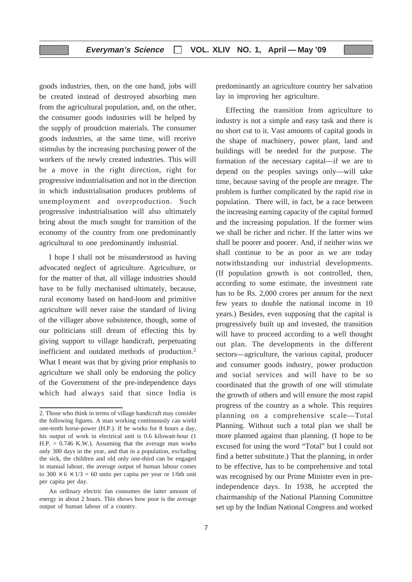goods industries, then, on the one hand, jobs will be created instead of destroyed absorbing men from the agricultural population, and, on the other, the consumer goods industries will be helped by the supply of proudction materials. The consumer goods industries, at the same time, will receive stimulus by the increasing purchasing power of the workers of the newly created industries. This will be a move in the right direction, right for progressive industrialisation and not in the direction in which industrialisation produces problems of unemployment and overproduction. Such progressive industrialisation will also ultimately bring about the much sought for transition of the economy of the country from one predominantly agricultural to one predominantly industrial.

I hope I shall not be misunderstood as having advocated neglect of agriculture. Agriculture, or for the matter of that, all village industries should have to be fully mechanised ultimately, because, rural economy based on hand-loom and primitive agriculture will never raise the standard of living of the villager above subsistence, though, some of our politicians still dream of effecting this by giving support to village handicraft, perpetuating inefficient and outdated methods of production.2 What I meant was that by giving prior emphasis to agriculture we shall only be endorsing the policy of the Government of the pre-independence days which had always said that since India is predominantly an agriculture country her salvation lay in improving her agriculture.

Effecting the transition from agriculture to industry is not a simple and easy task and there is no short cut to it. Vast amounts of capital goods in the shape of machinery, power plant, land and buildings will be needed for the purpose. The formation of the necessary capital—if we are to depend on the peoples savings only—will take time, because saving of the people are meagre. The problem is further complicated by the rapid rise in population. There will, in fact, be a race between the increasing earning capacity of the capital formed and the increasing population. If the former wins we shall be richer and richer. If the latter wins we shall be poorer and poorer. And, if neither wins we shall continue to be as poor as we are today notwithstanding our industrial developments. (If population growth is not controlled, then, according to some estimate, the investment rate has to be Rs. 2,000 crores per annum for the next few years to double the national income in 10 years.) Besides, even supposing that the capital is progressively built up and invested, the transition will have to proceed according to a well thought out plan. The developments in the different sectors—agriculture, the various capital, producer and consumer goods industry, power production and social services and will have to be so coordinated that the growth of one will stimulate the growth of others and will ensure the most rapid progress of the country as a whole. This requires planning on a comprehensive scale—Total Planning. Without such a total plan we shall be more planned against than planning. (I hope to be excused for using the word "Total" but I could not find a better substitute.) That the planning, in order to be effective, has to be comprehensive and total was recognised by our Prime Minister even in preindependence days. In 1938, he accepted the chairmanship of the National Planning Committee set up by the Indian National Congress and worked

<sup>2.</sup> Those who think in terms of village handicraft may consider the following figures. A man working continuously can wield one-tenth horse-power (H.P.). If he works for 8 hours a day, his output of work in electrical unit is 0.6 kilowatt-hour (1  $H.P. = 0.746$  K.W.). Assuming that the average man works only 300 days in the year, and that in a population, excluding the sick, the children and old only one-third can be engaged in manual labour, the average output of human labour comes to  $300 \times 6 \times 1/3 = 60$  units per capita per year or 1/6th unit per capita per day.

An ordinary electric fan consumes the latter amount of energy in about 2 hours. This shows how poor is the average output of human labour of a country.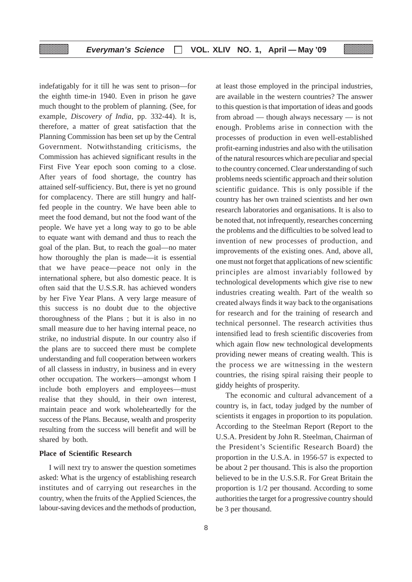indefatigably for it till he was sent to prison—for the eighth time-in 1940. Even in prison he gave much thought to the problem of planning. (See, for example, *Discovery of India,* pp. 332-44). It is, therefore, a matter of great satisfaction that the Planning Commission has been set up by the Central Government. Notwithstanding criticisms, the Commission has achieved significant results in the First Five Year epoch soon coming to a close. After years of food shortage, the country has attained self-sufficiency. But, there is yet no ground for complacency. There are still hungry and halffed people in the country. We have been able to meet the food demand, but not the food want of the people. We have yet a long way to go to be able to equate want with demand and thus to reach the goal of the plan. But, to reach the goal—no mater how thoroughly the plan is made—it is essential that we have peace—peace not only in the international sphere, but also domestic peace. It is often said that the U.S.S.R. has achieved wonders by her Five Year Plans. A very large measure of this success is no doubt due to the objective thoroughness of the Plans ; but it is also in no small measure due to her having internal peace, no strike, no industrial dispute. In our country also if the plans are to succeed there must be complete understanding and full cooperation between workers of all classess in industry, in business and in every other occupation. The workers—amongst whom I include both employers and employees—must realise that they should, in their own interest, maintain peace and work wholeheartedly for the success of the Plans. Because, wealth and prosperity resulting from the success will benefit and will be shared by both.

#### **Place of Scientific Research**

I will next try to answer the question sometimes asked: What is the urgency of establishing research institutes and of carrying out researches in the country, when the fruits of the Applied Sciences, the labour-saving devices and the methods of production,

at least those employed in the principal industries, are available in the western countries? The answer to this question is that importation of ideas and goods from abroad — though always necessary — is not enough. Problems arise in connection with the processes of production in even well-established profit-earning industries and also with the utilisation of the natural resources which are peculiar and special to the country concerned. Clear understanding of such problems needs scientific approach and their solution scientific guidance. This is only possible if the country has her own trained scientists and her own research laboratories and organisations. It is also to be noted that, not infrequently, researches concerning the problems and the difficulties to be solved lead to invention of new processes of production, and improvements of the existing ones. And, above all, one must not forget that applications of new scientific principles are almost invariably followed by technological developments which give rise to new industries creating wealth. Part of the wealth so created always finds it way back to the organisations for research and for the training of research and technical personnel. The research activities thus intensified lead to fresh scientific discoveries from which again flow new technological developments providing newer means of creating wealth. This is the process we are witnessing in the western countries, the rising spiral raising their people to giddy heights of prosperity.

The economic and cultural advancement of a country is, in fact, today judged by the number of scientists it engages in proportion to its population. According to the Steelman Report (Report to the U.S.A. President by John R. Steelman, Chairman of the President's Scientific Research Board) the proportion in the U.S.A. in 1956-57 is expected to be about 2 per thousand. This is also the proportion believed to be in the U.S.S.R. For Great Britain the proportion is 1/2 per thousand. According to some authorities the target for a progressive country should be 3 per thousand.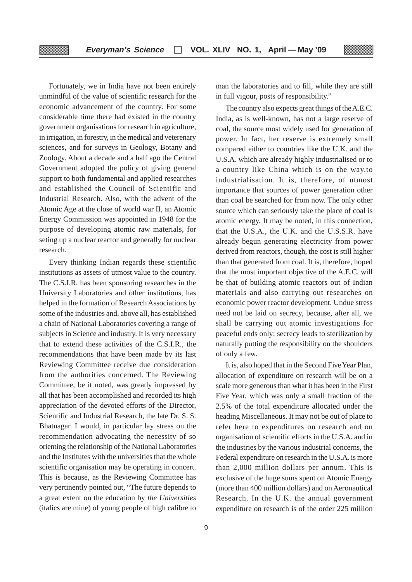Fortunately, we in India have not been entirely unmindful of the value of scientific research for the economic advancement of the country. For some considerable time there had existed in the country government organisations for research in agriculture, in irrigation, in forestry, in the medical and veterenary sciences, and for surveys in Geology, Botany and Zoology. About a decade and a half ago the Central Government adopted the policy of giving general support to both fundamental and applied researches and established the Council of Scientific and Industrial Research. Also, with the advent of the Atomic Age at the close of world war II, an Atomic Energy Commission was appointed in 1948 for the purpose of developing atomic raw materials, for seting up a nuclear reactor and generally for nuclear research.

Every thinking Indian regards these scientific institutions as assets of utmost value to the country. The C.S.I.R. has been sponsoring researches in the University Laboratories and other institutions, has helped in the formation of Research Associations by some of the industries and, above all, has established a chain of National Laboratories covering a range of subjects in Science and industry. It is very necessary that to extend these activities of the C.S.I.R., the recommendations that have been made by its last Reviewing Committee receive due consideration from the authorities concerned. The Reviewing Committee, be it noted, was greatly impressed by all that has been accomplished and recorded its high appreciation of the devoted efforts of the Director, Scientific and Industrial Research, the late Dr. S. S. Bhatnagar. I would, in particular lay stress on the recommendation advocating the necessity of so orienting the relationship of the National Laboratories and the Institutes with the universities that the whole scientific organisation may be operating in concert. This is because, as the Reviewing Committee has very pertinently pointed out, "The future depends to a great extent on the education by *the Universities* (italics are mine) of young people of high calibre to

man the laboratories and to fill, while they are still in full vigour, posts of responsibility."

The country also expects great things of the A.E.C. India, as is well-known, has not a large reserve of coal, the source most widely used for generation of power. In fact, her reserve is extremely small compared either to countries like the U.K. and the U.S.A. which are already highly industrialised or to a country like China which is on the way.to industrialisation. It is, therefore, of utmost importance that sources of power generation other than coal be searched for from now. The only other source which can seriously take the place of coal is atomic energy. It may be noted, in this connection, that the U.S.A., the U.K. and the U.S.S.R. have already begun generating electricity from power derived from reactors, though, the cost is still higher than that generated from coal. It is, therefore, hoped that the most important objective of the A.E.C. will be that of building atomic reactors out of Indian materials and also carrying out researches on economic power reactor development. Undue stress need not be laid on secrecy, because, after all, we shall be carrying out atomic investigations for peaceful ends only; secrecy leads to sterilization by naturally putting the responsibility on the shoulders of only a few.

It is, also hoped that in the Second Five Year Plan, allocation of expenditure on research will be on a scale more generous than what it has been in the First Five Year, which was only a small fraction of the 2.5% of the total expenditure allocated under the heading Miscellaneous. It may not be out of place to refer here to expenditures on research and on organisation of scientific efforts in the U.S.A. and in the industries by the various industrial concerns, the Federal expenditure on research in the U.S.A. is more than 2,000 million dollars per annum. This is exclusive of the huge sums spent on Atomic Energy (more than 400 million dollars) and on Aeronautical Research. In the U.K. the annual government expenditure on research is of the order 225 million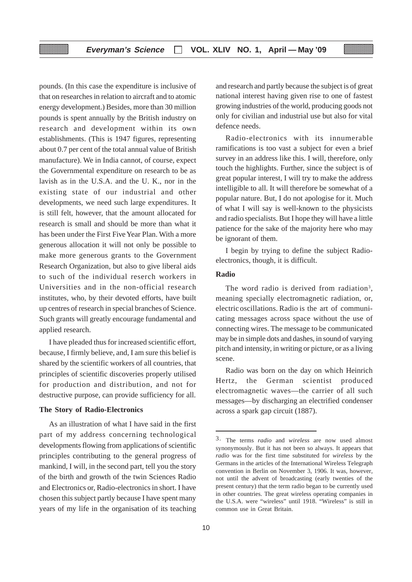pounds. (In this case the expenditure is inclusive of that on researches in relation to aircraft and to atomic energy development.) Besides, more than 30 million pounds is spent annually by the British industry on research and development within its own establishments. (This is 1947 figures, representing about 0.7 per cent of the total annual value of British manufacture). We in India cannot, of course, expect the Governmental expenditure on research to be as lavish as in the U.S.A. and the U. K., nor in the existing state of our industrial and other developments, we need such large expenditures. It is still felt, however, that the amount allocated for research is small and should be more than what it has been under the First Five Year Plan. With a more generous allocation it will not only be possible to make more generous grants to the Government Research Organization, but also to give liberal aids to such of the individual reserch workers in Universities and in the non-official research institutes, who, by their devoted efforts, have built up centres of research in special branches of Science. Such grants will greatly encourage fundamental and applied research.

I have pleaded thus for increased scientific effort, because, I firmly believe, and, I am sure this belief is shared by the scientific workers of all countries, that principles of scientific discoveries properly utilised for production and distribution, and not for destructive purpose, can provide sufficiency for all.

#### **The Story of Radio-Electronics**

As an illustration of what I have said in the first part of my address concerning technological developments flowing from applications of scientific principles contributing to the general progress of mankind, I will, in the second part, tell you the story of the birth and growth of the twin Sciences Radio and Electronics or, Radio-electronics in short. I have chosen this subject partly because I have spent many years of my life in the organisation of its teaching and research and partly because the subject is of great national interest having given rise to one of fastest growing industries of the world, producing goods not only for civilian and industrial use but also for vital defence needs.

Radio-electronics with its innumerable ramifications is too vast a subject for even a brief survey in an address like this. I will, therefore, only touch the highlights. Further, since the subject is of great popular interest, I will try to make the address intelligible to all. It will therefore be somewhat of a popular nature. But, I do not apologise for it. Much of what I will say is well-known to the physicists and radio specialists. But I hope they will have a little patience for the sake of the majority here who may be ignorant of them.

I begin by trying to define the subject Radioelectronics, though, it is difficult.

#### **Radio**

The word radio is derived from radiation<sup>3</sup>. meaning specially electromagnetic radiation, or, electric oscillations. Radio is the art of communicating messages across space without the use of connecting wires. The message to be communicated may be in simple dots and dashes, in sound of varying pitch and intensity, in writing or picture, or as a living scene.

Radio was born on the day on which Heinrich Hertz, the German scientist produced electromagnetic waves—the carrier of all such messages—by discharging an electrified condenser across a spark gap circuit (1887).

<sup>3.</sup> The terms *radio* and *wireless* are now used almost synonymously. But it has not been so always. It appears that *radio* was for the first time substituted for *wireless* by the Germans in the articles of the International Wireless Telegraph convention in Berlin on November 3, 1906. It was, however, not until the advent of broadcasting (early twenties of the present century) that the term radio began to be currently used in other countries. The great wireless operating companies in the U.S.A. were "wireless" until 1918. "Wireless" is still in common use in Great Britain.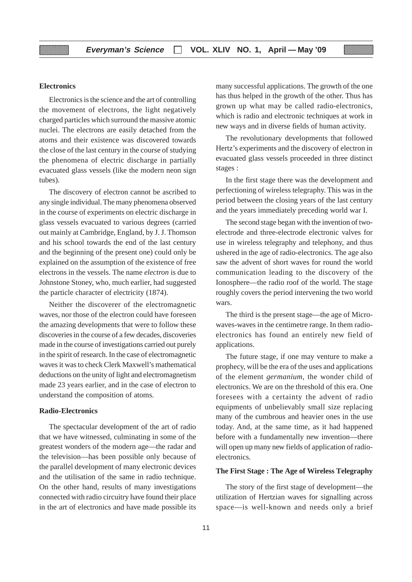#### **Electronics**

Electronics is the science and the art of controlling the movement of electrons, the light negatively charged particles which surround the massive atomic nuclei. The electrons are easily detached from the atoms and their existence was discovered towards the close of the last century in the course of studying the phenomena of electric discharge in partially evacuated glass vessels (like the modern neon sign tubes).

The discovery of electron cannot be ascribed to any single individual. The many phenomena observed in the course of experiments on electric discharge in glass vessels evacuated to various degrees (carried out mainly at Cambridge, England, by J. J. Thomson and his school towards the end of the last century and the beginning of the present one) could only be explained on the assumption of the existence of free electrons in the vessels. The name *electron* is due to Johnstone Stoney, who, much earlier, had suggested the particle character of electricity (1874).

Neither the discoverer of the electromagnetic waves, nor those of the electron could have foreseen the amazing developments that were to follow these discoveries in the course of a few decades, discoveries made in the course of investigations carried out purely in the spirit of research. In the case of electromagnetic waves it was to check Clerk Maxwell's mathematical deductions on the unity of light and electromagnetism made 23 years earlier, and in the case of electron to understand the composition of atoms.

#### **Radio-Electronics**

The spectacular development of the art of radio that we have witnessed, culminating in some of the greatest wonders of the modern age—the radar and the television—has been possible only because of the parallel development of many electronic devices and the utilisation of the same in radio technique. On the other hand, results of many investigations connected with radio circuitry have found their place in the art of electronics and have made possible its many successful applications. The growth of the one has thus helped in the growth of the other. Thus has grown up what may be called radio-electronics, which is radio and electronic techniques at work in new ways and in diverse fields of human activity.

The revolutionary developments that followed Hertz's experiments and the discovery of electron in evacuated glass vessels proceeded in three distinct stages :

In the first stage there was the development and perfectioning of wireless telegraphy. This was in the period between the closing years of the last century and the years immediately preceding world war I.

The second stage began with the invention of twoelectrode and three-electrode electronic valves for use in wireless telegraphy and telephony, and thus ushered in the age of radio-electronics. The age also saw the advent of short waves for round the world communication leading to the discovery of the Ionosphere—the radio roof of the world. The stage roughly covers the period intervening the two world wars.

The third is the present stage—the age of Microwaves-waves in the centimetre range. In them radioelectronics has found an entirely new field of applications.

The future stage, if one may venture to make a prophecy, will be the era of the uses and applications of the element *germanium,* the wonder child of electronics. We are on the threshold of this era. One foresees with a certainty the advent of radio equipments of unbelievably small size replacing many of the cumbrous and heavier ones in the use today. And, at the same time, as it had happened before with a fundamentally new invention—there will open up many new fields of application of radioelectronics.

#### **The First Stage : The Age of Wireless Telegraphy**

The story of the first stage of development—the utilization of Hertzian waves for signalling across space—is well-known and needs only a brief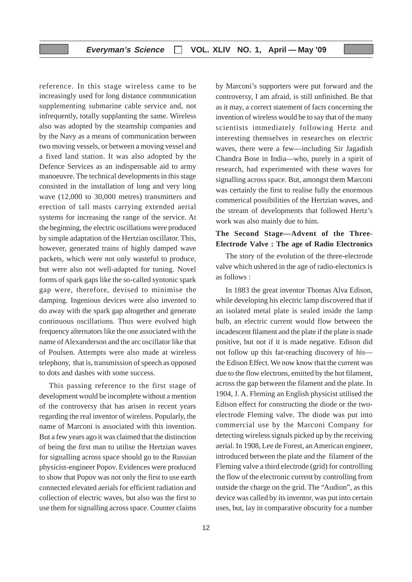reference. In this stage wireless came to be increasingly used for long distance communication supplementing submarine cable service and, not infrequently, totally supplanting the same. Wireless also was adopted by the steamship companies and by the Navy as a means of communication between two moving vessels, or between a moving vessel and a fixed land station. It was also adopted by the Defence Services as an indispensable aid to army manoeuvre. The technical developments in this stage consisted in the installation of long and very long wave (12,000 to 30,000 metres) transmitters and erection of tall masts carrying extended aerial systems for increasing the range of the service. At the beginning, the electric oscillations were produced by simple adaptation of the Hertzian oscillator. This, however, generated trains of highly damped wave packets, which were not only wasteful to produce, but were also not well-adapted for tuning. Novel forms of spark gaps like the so-called syntonic spark gap were, therefore, devised to minimise the damping. Ingenious devices were also invented to do away with the spark gap altogether and generate continuous oscillations. Thus were evolved high frequency alternators like the one associated with the name of Alexanderson and the arc oscillator like that of Poulsen. Attempts were also made at wireless telephony, that is, transmission of speech as opposed to dots and dashes with some success.

This passing reference to the first stage of development would be incomplete without a mention of the controversy that has arisen in recent years regarding the real inventor of wireless. Popularly, the name of Marconi is associated with this invention. But a few years ago it was claimed that the distinction of being the first man to utilise the Hertzian waves for signalling across space should go to the Russian physicist-engineer Popov. Evidences were produced to show that Popov was not only the first to use earth connected elevated aerials for efficient radiation and collection of electric waves, but also was the first to use them for signalling across space. Counter claims

by Marconi's supporters were put forward and the controversy, I am afraid, is still unfinished. Be that as it may, a correct statement of facts concerning the invention of wireless would be to say that of the many scientists immediately following Hertz and interesting themselves in researches on electric waves, there were a few—including Sir Jagadish Chandra Bose in India—who, purely in a spirit of research, had experimented with these waves for signalling across space. But, amongst them Marconi was certainly the first to realise fully the enormous commerical possibilities of the Hertzian waves, and the stream of developments that followed Hertz's work was also mainly due to him.

#### **The Second Stage—Advent of the Three-Electrode Valve : The age of Radio Electronics**

The story of the evolution of the three-electrode valve which ushered in the age of radio-electonics is as follows :

In 1883 the great inventor Thomas Alva Edison, while developing his electric lamp discovered that if an isolated metal plate is sealed inside the lamp bulb, an electric current would flow between the incadescent filament and the plate if the plate is made positive, but not if it is made negative. Edison did not follow up this far-reaching discovery of his the Edison Effect. We now know that the current was due to the flow electrons, emitted by the hot filament, across the gap between the filament and the plate. In 1904, J. A. Fleming an English physicist utilised the Edison effect for constructing the diode or the twoelectrode Fleming valve. The diode was put into commercial use by the Marconi Company for detecting wireless signals picked up by the receiving aerial. In 1908, Lee de Forest, an American engineer, introduced between the plate and the filament of the Fleming valve a third electrode (grid) for controlling the flow of the electronic current by controlling from outside the charge on the grid. The "Audion", as this device was called by its inventor, was put into certain uses, but, lay in comparative obscurity for a number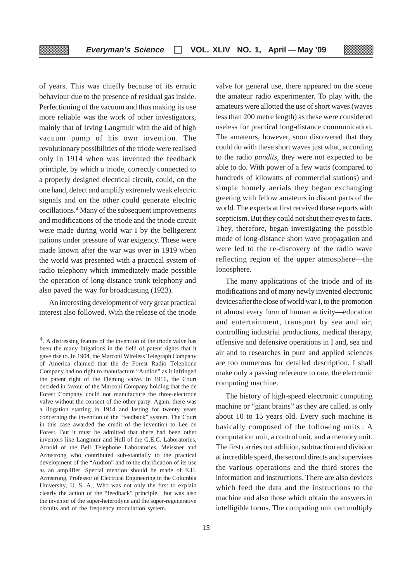of years. This was chiefly because of its erratic behaviour due to the presence of residual gas inside. Perfectioning of the vacuum and thus making its use more reliable was the work of other investigators, mainly that of Irving Langmuir with the aid of high vacuum pump of his own invention. The revolutionary possibilities of the triode were realised only in 1914 when was invented the feedback principle, by which a triode, correctly connected to a properly designed electrical circuit, could, on the one hand, detect and amplify extremely weak electric signals and on the other could generate electric oscillations.4 Many of the subsequent improvements and modifications of the triode and the triode circuit were made during world war I by the belligerent nations under pressure of war exigency. These were made known after the war was over in 1919 when the world was presented with a practical system of radio telephony which immediately made possible the operation of long-distance trunk telephony and also paved the way for broadcasting (1923).

An interesting development of very great practical interest also followed. With the release of the triode valve for general use, there appeared on the scene the amateur radio experimenter. To play with, the amateurs were allotted the use of short waves (waves less than 200 metre length) as these were considered useless for practical long-distance communication. The amateurs, however, soon discovered that they could do with these short waves just what, according to the radio *pundits,* they were not expected to be able to do. With power of a few watts (compared to hundreds of kilowatts of commercial stations) and simple homely aerials they began exchanging greeting with fellow amateurs in distant parts of the world. The experts at first received these reports with scepticism. But they could not shut their eyes to facts. They, therefore, began investigating the possible mode of long-distance short wave propagation and were led to the re-discovery of the radio wave reflecting region of the upper atmosphere—the Ionosphere.

The many applications of the triode and of its modifications and of many newly invented electronic devicesafterthe close of world war I, to the promotion of almost every form of human activity—education and entertainment, transport by sea and air, controlling industrial productions, medical therapy, offensive and defensive operations in I and, sea and air and to researches in pure and applied sciences are too numerous for detailed description. I shall make only a passing reference to one, the electronic computing machine.

The history of high-speed electronic computing machine or "giant brains" as they are called, is only about 10 to 15 years old. Every such machine is basically composed of the following units : A computation unit, a control unit, and a memory unit. The first carries out addition, subtraction and division at incredible speed, the second directs and supervises the various operations and the third stores the information and instructions. There are also devices which feed the data and the instructions to the machine and also those which obtain the answers in intelligible forms. The computing unit can multiply

<sup>4.</sup> A distressing feature of the invention of the triode valve has been the many litigations in the field of patent rights that it gave rise to. In 1904, the Marconi Wireless Telegraph Company of America claimed that the de Forest Radio Telephone Company had no right to manufacture "Audion" as it infringed the patent right of the Fleming valve. In 1916, the Court decided in favour of the Marconi Company holding that the de Forest Company could not manufacture the three-electrode valve without the consent of the other party. Again, there was a litigation starting in 1914 and lasting for twenty years concerning the invention of the "feedback" system. The Court in this case awarded the credit of the invention to Lee de Forest. But it must be admitted that there had been other inventors like Langmuir and Hull of the G.E.C. Laboratories, Arnold of the Bell Telephone Laboratories, Meissner and Armstrong who contributed sub-stantially to the practical development of the "Audion" and to the clarification of its use as an amplifier. Special mention should be made of E.H. Armstrong, Professor of Electrical Engineering in the Columbia University, U. S. A., Who was not only the first to explain clearly the action of the "feedback" principle, but was also the inventor of the super-heterodyne and the super-regenerative circuits and of the frequency modulation system.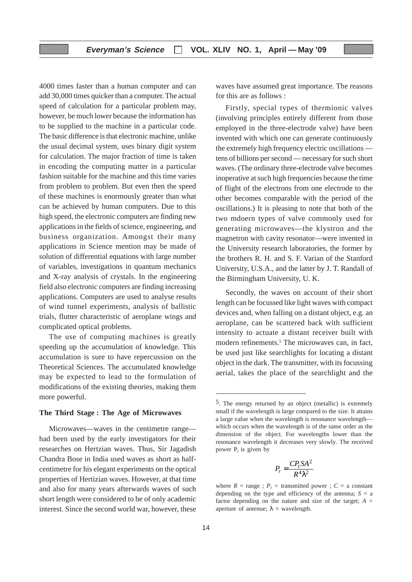4000 times faster than a human computer and can add 30,000 times quicker than a computer. The actual speed of calculation for a particular problem may, however, be much lower because the information has to be supplied to the machine in a particular code. The basic difference is that electronic machine, unlike the usual decimal system, uses binary digit system for calculation. The major fraction of time is taken in encoding the computing matter in a particular fashion suitable for the machine and this time varies from problem to problem. But even then the speed of these machines is enormously greater than what can be achieved by human computers. Due to this high speed, the electronic computers are finding new applications in the fields of science, engineering, and business organization. Amongst their many applications in Science mention may be made of solution of differential equations with large number of variables, investigations in quantum mechanics and X-ray analysis of crystals. In the engineering field also electronic computers are finding increasing applications. Computers are used to analyse results of wind tunnel experiments, analysis of ballistic trials, flutter characteristic of aeroplane wings and complicated optical problems.

The use of computing machines is greatly speeding up the accumulation of knowledge. This accumulation is sure to have repercussion on the Theoretical Sciences. The accumulated knowledge may be expected to lead to the formulation of modifications of the existing theories, making them more powerful.

#### **The Third Stage : The Age of Microwaves**

Microwaves—waves in the centimetre range had been used by the early investigators for their researches on Hertzian waves. Thus, Sir Jagadish Chandra Bose in India used waves as short as halfcentimetre for his elegant experiments on the optical properties of Hertizian waves. However, at that time and also for many years afterwards waves of such short length were considered to be of only academic interest. Since the second world war, however, these

waves have assumed great importance. The reasons for this are as follows :

Firstly, special types of thermionic valves (involving principles entirely different from those employed in the three-electrode valve) have been invented with which one can generate continuously the extremely high frequency electric oscillations tens of billions per second — necessary for such short waves. (The ordinary three-electrode valve becomes inoperative at such high frequencies because the time of flight of the electrons from one electrode to the other becomes comparable with the period of the oscillations.) It is pleasing to note that both of the two mdoern types of valve commonly used for generating microwaves—the klystron and the magnetron with cavity resonator—were invented in the University research laboratories, the former by the brothers R. H. and S. F. Varian of the Stanford University, U.S.A., and the latter by J. T. Randall of the Birmingham University, U. K.

Secondly, the waves on account of their short length can be focussed like light waves with compact devices and, when falling on a distant object, e.g. an aeroplane, can be scattered back with sufficient intensity to actuate a distant receiver built with modern refinements.<sup>5</sup> The microwaves can, in fact, be used just like searchlights for locating a distant object in the dark. The transmitter, with its focussing aerial, takes the place of the searchlight and the

$$
P_r = \frac{CP_t SA^2}{R^4 \lambda^2}
$$

<sup>5.</sup> The energy returned by an object (metallic) is extremely small if the wavelength is large compared to the size. It attains a large value when the wavelength is resonance wavelength which occurs when the wavelength is of the same order as the dimension of the object. For wavelengths lower than the resonance wavelength it decreases very slowly. The received power  $P_r$  is given by

where  $R = \text{range}$ ;  $P_t = \text{transmitted power}$ ;  $C = \text{a constant}$ depending on the type and efficiency of the antenna;  $S = a$ factor depending on the nature and size of the target;  $A =$ aperture of antenue;  $\lambda$  = wavelength.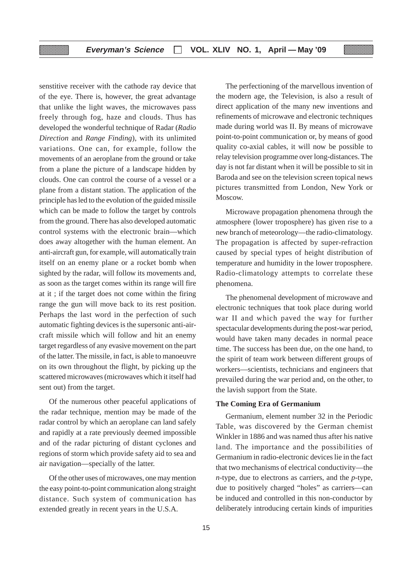senstitive receiver with the cathode ray device that of the eye. There is, however, the great advantage that unlike the light waves, the microwaves pass freely through fog, haze and clouds. Thus has developed the wonderful technique of Radar (*Radio Direction* and *Range Finding*), with its unlimited variations. One can, for example, follow the movements of an aeroplane from the ground or take from a plane the picture of a landscape hidden by clouds. One can control the course of a vessel or a plane from a distant station. The application of the principle has led to the evolution of the guided missile which can be made to follow the target by controls from the ground. There has also developed automatic control systems with the electronic brain—which does away altogether with the human element. An anti-aircraft gun, for example, will automatically train itself on an enemy plane or a rocket bomb when sighted by the radar, will follow its movements and, as soon as the target comes within its range will fire at it ; if the target does not come within the firing range the gun will move back to its rest position. Perhaps the last word in the perfection of such automatic fighting devices is the supersonic anti-aircraft missile which will follow and hit an enemy target regardless of any evasive movement on the part of the latter. The missile, in fact, is able to manoeuvre on its own throughout the flight, by picking up the scattered microwaves (microwaves which it itself had sent out) from the target.

▒

Of the numerous other peaceful applications of the radar technique, mention may be made of the radar control by which an aeroplane can land safely and rapidly at a rate previously deemed impossible and of the radar picturing of distant cyclones and regions of storm which provide safety aid to sea and air navigation—specially of the latter.

Of the other uses of microwaves, one may mention the easy point-to-point communication along straight distance. Such system of communication has extended greatly in recent years in the U.S.A.

The perfectioning of the marvellous invention of the modern age, the Television, is also a result of direct application of the many new inventions and refinements of microwave and electronic techniques made during world was II. By means of microwave point-to-point communication or, by means of good quality co-axial cables, it will now be possible to relay television programme over long-distances. The day is not far distant when it will be possible to sit in Baroda and see on the television screen topical news pictures transmitted from London, New York or Moscow.

Microwave propagation phenomena through the atmosphere (lower troposphere) has given rise to a new branch of meteorology—the radio-climatology. The propagation is affected by super-refraction caused by special types of height distribution of temperature and humidity in the lower troposphere. Radio-climatology attempts to correlate these phenomena.

The phenomenal development of microwave and electronic techniques that took place during world war II and which paved the way for further spectacular developments during the post-war period, would have taken many decades in normal peace time. The success has been due, on the one hand, to the spirit of team work between different groups of workers—scientists, technicians and engineers that prevailed during the war period and, on the other, to the lavish support from the State.

#### **The Coming Era of Germanium**

Germanium, element number 32 in the Periodic Table, was discovered by the German chemist Winkler in 1886 and was named thus after his native land. The importance and the possibilities of Germanium in radio-electronic devices lie in the fact that two mechanisms of electrical conductivity—the *n*-type, due to electrons as carriers, and the *p*-type, due to positively charged "holes" as carriers—can be induced and controlled in this non-conductor by deliberately introducing certain kinds of impurities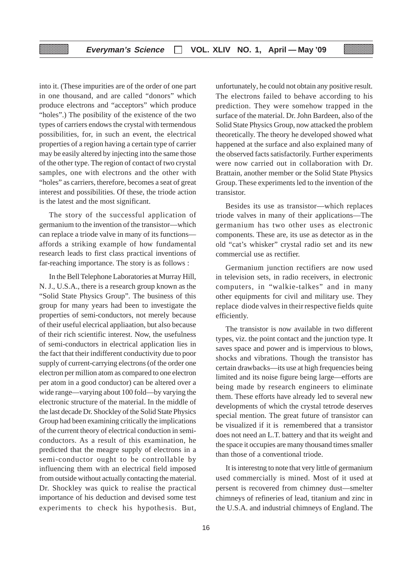into it. (These impurities are of the order of one part in one thousand, and are called "donors" which produce electrons and "acceptors" which produce "holes".) The posibility of the existence of the two types of carriers endows the crystal with termendous possibilities, for, in such an event, the electrical properties of a region having a certain type of carrier may be easily altered by injecting into the same those of the other type. The region of contact of two crystal samples, one with electrons and the other with "holes" as carriers, therefore, becomes a seat of great interest and possibilities. Of these, the triode action is the latest and the most significant.

The story of the successful application of germanium to the invention of the transistor—which can replace a triode valve in many of its functions affords a striking example of how fundamental research leads to first class practical inventions of far-reaching importance. The story is as follows :

In the Bell Telephone Laboratories at Murray Hill, N. J., U.S.A., there is a research group known as the "Solid State Physics Group". The business of this group for many years had been to investigate the properties of semi-conductors, not merely because of their useful elecrical appliaation, but also because of their rich scientific interest. Now, the usefulness of semi-conductors in electrical application lies in the fact that their indifferent conductivity due to poor supply of current-carrying electrons (of the order one electron per million atom as compared to one electron per atom in a good conductor) can be altered over a wide range—varying about 100 fold—by varying the electronic structure of the material. In the middle of the last decade Dr. Shockley of the Solid State Physics Group had been examining critically the implications of the current theory of electrical conduction in semiconductors. As a result of this examination, he predicted that the meagre supply of electrons in a semi-conductor ought to be controllable by influencing them with an electrical field imposed from outside without actually contacting the material. Dr. Shockley was quick to realise the practical importance of his deduction and devised some test experiments to check his hypothesis. But,

unfortunately, he could not obtain any positive result. The electrons failed to behave according to his prediction. They were somehow trapped in the surface of the material. Dr. John Bardeen, also of the Solid State Physics Group, now attacked the problem theoretically. The theory he developed showed what happened at the surface and also explained many of the observed facts satisfactorily. Further experiments were now carried out in collaboration with Dr. Brattain, another member or the Solid State Physics Group. These experiments led to the invention of the transistor.

Besides its use as transistor—which replaces triode valves in many of their applications—The germanium has two other uses as electronic components. These are, its use as detector as in the old "cat's whisker" crystal radio set and its new commercial use as rectifier.

Germanium junction rectifiers are now used in television sets, in radio receivers, in electronic computers, in "walkie-talkes" and in many other equipments for civil and military use. They replace diode valves in their respective fields quite efficiently.

The transistor is now available in two different types, viz. the point contact and the junction type. It saves space and power and is impervious to blows, shocks and vibrations. Though the transistor has certain drawbacks—its use at high frequencies being limited and its noise figure being large—efforts are being made by research engineers to eliminate them. These efforts have already led to several new developments of which the crystal tetrode deserves special mention. The great future of transistor can be visualized if it is remembered that a transistor does not need an L.T. battery and that its weight and the space it occupies are many thousand times smaller than those of a conventional triode.

It is interestng to note that very little of germanium used commercially is mined. Most of it used at persent is recovered from chimney dust—smelter chimneys of refineries of lead, titanium and zinc in the U.S.A. and industrial chimneys of England. The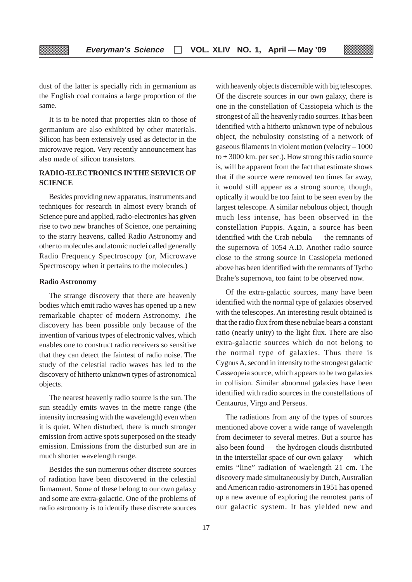dust of the latter is specially rich in germanium as the English coal contains a large proportion of the same.

It is to be noted that properties akin to those of germanium are also exhibited by other materials. Silicon has been extensively used as detector in the microwave region. Very recently announcement has also made of silicon transistors.

#### **RADIO-ELECTRONICS IN THE SERVICE OF SCIENCE**

Besides providing new apparatus, instruments and techniques for research in almost every branch of Science pure and applied, radio-electronics has given rise to two new branches of Science, one pertaining to the starry heavens, called Radio Astronomy and other to molecules and atomic nuclei called generally Radio Frequency Spectroscopy (or, Microwave Spectroscopy when it pertains to the molecules.)

#### **Radio Astronomy**

███

The strange discovery that there are heavenly bodies which emit radio waves has opened up a new remarkable chapter of modern Astronomy. The discovery has been possible only because of the invention of various types of electronic valves, which enables one to construct radio receivers so sensitive that they can detect the faintest of radio noise. The study of the celestial radio waves has led to the discovery of hitherto unknown types of astronomical objects.

The nearest heavenly radio source is the sun. The sun steadily emits waves in the metre range (the intensity increasing with the wavelength) even when it is quiet. When disturbed, there is much stronger emission from active spots superposed on the steady emission. Emissions from the disturbed sun are in much shorter wavelength range.

Besides the sun numerous other discrete sources of radiation have been discovered in the celestial firmament. Some of these belong to our own galaxy and some are extra-galactic. One of the problems of radio astronomy is to identify these discrete sources

with heavenly objects discernible with big telescopes. Of the discrete sources in our own galaxy, there is one in the constellation of Cassiopeia which is the strongest of all the heavenly radio sources. It has been identified with a hitherto unknown type of nebulous object, the nebulosity consisting of a network of gaseous filaments in violent motion (velocity – 1000  $to +3000$  km. per sec.). How strong this radio source is, will be apparent from the fact that estimate shows that if the source were removed ten times far away, it would still appear as a strong source, though, optically it would be too faint to be seen even by the largest telescope. A similar nebulous object, though much less intense, has been observed in the constellation Puppis. Again, a source has been identified with the Crab nebula — the remnants of the supernova of 1054 A.D. Another radio source close to the strong source in Cassiopeia metioned above has been identified with the remnants of Tycho Brahe's supernova, too faint to be observed now.

Of the extra-galactic sources, many have been identified with the normal type of galaxies observed with the telescopes. An interesting result obtained is that the radio flux from these nebulae bears a constant ratio (nearly unity) to the light flux. There are also extra-galactic sources which do not belong to the normal type of galaxies. Thus there is Cygnus A, second in intensity to the strongest galactic Casseopeia source, which appears to be two galaxies in collision. Similar abnormal galaxies have been identified with radio sources in the constellations of Centaurus, Virgo and Perseus.

The radiations from any of the types of sources mentioned above cover a wide range of wavelength from decimeter to several metres. But a source has also been found — the hydrogen clouds distributed in the interstellar space of our own galaxy — which emits "line" radiation of waelength 21 cm. The discovery made simultaneously by Dutch, Australian and American radio-astronomers in 1951 has opened up a new avenue of exploring the remotest parts of our galactic system. It has yielded new and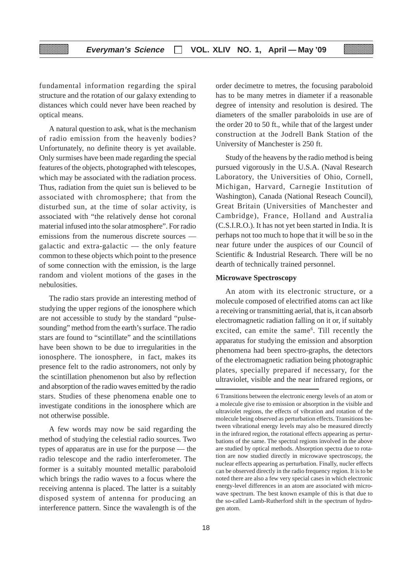fundamental information regarding the spiral structure and the rotation of our galaxy extending to distances which could never have been reached by optical means.

A natural question to ask, what is the mechanism of radio emission from the heavenly bodies? Unfortunately, no definite theory is yet available. Only surmises have been made regarding the special features of the objects, photographed with telescopes, which may be associated with the radiation process. Thus, radiation from the quiet sun is believed to be associated with chromosphere; that from the disturbed sun, at the time of solar activity, is associated with "the relatively dense hot coronal material infused into the solar atmosphere". For radio emissions from the numerous discrete sources galactic and extra-galactic — the only feature common to these objects which point to the presence of some connection with the emission, is the large random and violent motions of the gases in the nebulosities.

The radio stars provide an interesting method of studying the upper regions of the ionosphere which are not accessible to study by the standard "pulsesounding" method from the earth's surface. The radio stars are found to "scintillate" and the scintillations have been shown to be due to irregularities in the ionosphere. The ionosphere, in fact, makes its presence felt to the radio astronomers, not only by the scintillation phenomenon but also by reflection and absorption of the radio waves emitted by the radio stars. Studies of these phenomena enable one to investigate conditions in the ionosphere which are not otherwise possible.

A few words may now be said regarding the method of studying the celestial radio sources. Two types of apparatus are in use for the purpose — the radio telescope and the radio interferometer. The former is a suitably mounted metallic paraboloid which brings the radio waves to a focus where the receiving antenna is placed. The latter is a suitably disposed system of antenna for producing an interference pattern. Since the wavalength is of the

order decimetre to metres, the focusing paraboloid has to be many metres in diameter if a reasonable degree of intensity and resolution is desired. The diameters of the smaller paraboloids in use are of the order 20 to 50 ft., while that of the largest under construction at the Jodrell Bank Station of the University of Manchester is 250 ft.

Study of the heavens by the radio method is being pursued vigorously in the U.S.A. (Naval Research Laboratory, the Universities of Ohio, Cornell, Michigan, Harvard, Carnegie Institution of Washington), Canada (National Reseach Council), Great Britain (Universities of Manchester and Cambridge), France, Holland and Australia (C.S.I.R.O.). It has not yet been started in India. It is perhaps not too much to hope that it will be so in the near future under the auspices of our Council of Scientific & Industrial Research. There will be no dearth of technically trained personnel.

#### **Microwave Spectroscopy**

An atom with its electronic structure, or a molecule composed of electrified atoms can act like a receiving or transmitting aerial, that is, it can absorb electromagnetic radiation falling on it or, if suitably excited, can emite the same<sup>6</sup>. Till recently the apparatus for studying the emission and absorption phenomena had been spectro-graphs, the detectors of the electromagnetic radiation being photographic plates, specially prepared if necessary, for the ultraviolet, visible and the near infrared regions, or

<sup>6</sup> Transitions between the electronic energy levels of an atom or a molecule give rise to emission or absorption in the visible and ultraviolet regions, the effects of vibration and rotation of the molecule being observed as perturbation effects. Transitions between vibrational energy levels may also be measured directly in the infrared region, the rotational effects appearing as perturbations of the same. The spectral regions involved in the above are studied by optical methods. Absorption spectra due to rotation are now studied directly in microwave spectroscopy, the nuclear effects appearing as perturbation. Finally, nucler effects can be observed directly in the radio frequency region. It is to be noted there are also a few very special cases in which electronic energy-level differences in an atom are associated with microwave spectrum. The best known example of this is that due to the so-called Lamb-Rutherford shift in the spectrum of hydrogen atom.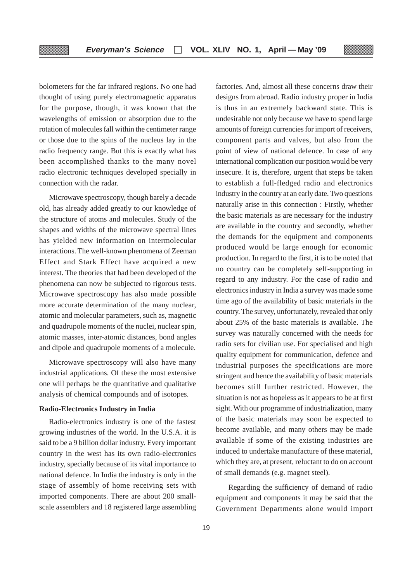bolometers for the far infrared regions. No one had thought of using purely electromagnetic apparatus for the purpose, though, it was known that the wavelengths of emission or absorption due to the rotation of molecules fall within the centimeter range or those due to the spins of the nucleus lay in the radio frequency range. But this is exactly what has been accomplished thanks to the many novel radio electronic techniques developed specially in connection with the radar.

<u>mana</u>

Microwave spectroscopy, though barely a decade old, has already added greatly to our knowledge of the structure of atoms and molecules. Study of the shapes and widths of the microwave spectral lines has yielded new information on intermolecular interactions. The well-known phenomena of Zeeman Effect and Stark Effect have acquired a new interest. The theories that had been developed of the phenomena can now be subjected to rigorous tests. Microwave spectroscopy has also made possible more accurate determination of the many nuclear, atomic and molecular parameters, such as, magnetic and quadrupole moments of the nuclei, nuclear spin, atomic masses, inter-atomic distances, bond angles and dipole and quadrupole moments of a molecule.

Microwave spectroscopy will also have many industrial applications. Of these the most extensive one will perhaps be the quantitative and qualitative analysis of chemical compounds and of isotopes.

#### **Radio-Electronics Industry in India**

Radio-electronics industry is one of the fastest growing industries of the world. In the U.S.A. it is said to be a 9 billion dollar industry. Every important country in the west has its own radio-electronics industry, specially because of its vital importance to national defence. In India the industry is only in the stage of assembly of home receiving sets with imported components. There are about 200 smallscale assemblers and 18 registered large assembling

factories. And, almost all these concerns draw their designs from abroad. Radio industry proper in India is thus in an extremely backward state. This is undesirable not only because we have to spend large amounts of foreign currencies for import of receivers, component parts and valves, but also from the point of view of national defence. In case of any international complication our position would be very insecure. It is, therefore, urgent that steps be taken to establish a full-fledged radio and electronics industry in the country at an early date. Two questions naturally arise in this connection : Firstly, whether the basic materials as are necessary for the industry are available in the country and secondly, whether the demands for the equipment and components produced would be large enough for economic production. In regard to the first, it is to be noted that no country can be completely self-supporting in regard to any industry. For the case of radio and electronics industry in India a survey was made some time ago of the availability of basic materials in the country. The survey, unfortunately, revealed that only about 25% of the basic materials is available. The survey was naturally concerned with the needs for radio sets for civilian use. For specialised and high quality equipment for communication, defence and industrial purposes the specifications are more stringent and hence the availability of basic materials becomes still further restricted. However, the situation is not as hopeless as it appears to be at first sight. With our programme of industrialization, many of the basic materials may soon be expected to become available, and many others may be made available if some of the existing industries are induced to undertake manufacture of these material, which they are, at present, reluctant to do on account of small demands (e.g. magnet steel).

 Regarding the sufficiency of demand of radio equipment and components it may be said that the Government Departments alone would import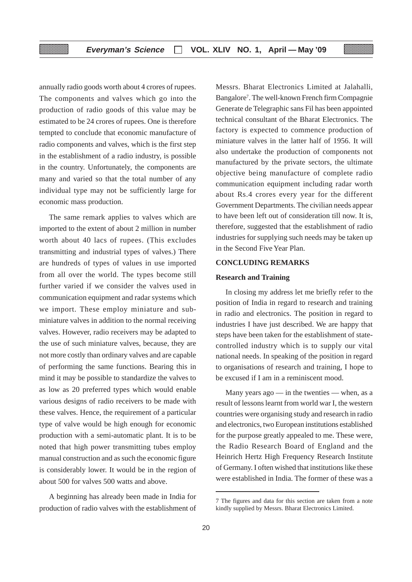annually radio goods worth about 4 crores of rupees. The components and valves which go into the production of radio goods of this value may be estimated to be 24 crores of rupees. One is therefore tempted to conclude that economic manufacture of radio components and valves, which is the first step in the establishment of a radio industry, is possible in the country. Unfortunately, the components are many and varied so that the total number of any individual type may not be sufficiently large for economic mass production.

The same remark applies to valves which are imported to the extent of about 2 million in number worth about 40 lacs of rupees. (This excludes transmitting and industrial types of valves.) There are hundreds of types of values in use imported from all over the world. The types become still further varied if we consider the valves used in communication equipment and radar systems which we import. These employ miniature and subminiature valves in addition to the normal receiving valves. However, radio receivers may be adapted to the use of such miniature valves, because, they are not more costly than ordinary valves and are capable of performing the same functions. Bearing this in mind it may be possible to standardize the valves to as low as 20 preferred types which would enable various designs of radio receivers to be made with these valves. Hence, the requirement of a particular type of valve would be high enough for economic production with a semi-automatic plant. It is to be noted that high power transmitting tubes employ manual construction and as such the economic figure is considerably lower. It would be in the region of about 500 for valves 500 watts and above.

A beginning has already been made in India for production of radio valves with the establishment of Messrs. Bharat Electronics Limited at Jalahalli, Bangalore7 . The well-known French firm Compagnie Generate de Telegraphic sans Fil has been appointed technical consultant of the Bharat Electronics. The factory is expected to commence production of miniature valves in the latter half of 1956. It will also undertake the production of components not manufactured by the private sectors, the ultimate objective being manufacture of complete radio communication equipment including radar worth about Rs.4 crores every year for the different Government Departments. The civilian needs appear to have been left out of consideration till now. It is, therefore, suggested that the establishment of radio industries for supplying such needs may be taken up in the Second Five Year Plan.

#### **CONCLUDING REMARKS**

#### **Research and Training**

In closing my address let me briefly refer to the position of India in regard to research and training in radio and electronics. The position in regard to industries I have just described. We are happy that steps have been taken for the establishment of statecontrolled industry which is to supply our vital national needs. In speaking of the position in regard to organisations of research and training, I hope to be excused if I am in a reminiscent mood.

Many years ago — in the twenties — when, as a result of lessons learnt from world war I, the western countries were organising study and research in radio and electronics, two European institutions established for the purpose greatly appealed to me. These were, the Radio Research Board of England and the Heinrich Hertz High Frequency Research Institute of Germany. I often wished that institutions like these were established in India. The former of these was a

<sup>7</sup> The figures and data for this section are taken from a note kindly supplied by Messrs. Bharat Electronics Limited.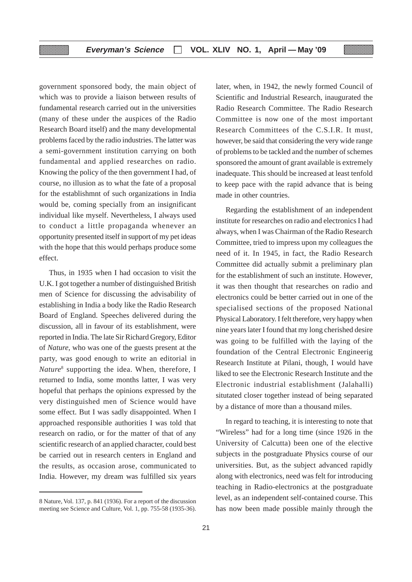government sponsored body, the main object of which was to provide a liaison between results of fundamental research carried out in the universities (many of these under the auspices of the Radio Research Board itself) and the many developmental problems faced by the radio industries. The latter was a semi-government institution carrying on both fundamental and applied researches on radio. Knowing the policy of the then government I had, of course, no illusion as to what the fate of a proposal for the establishmnt of such organizations in India would be, coming specially from an insignificant individual like myself. Nevertheless, I always used to conduct a little propaganda whenever an opportunity presented itself in support of my pet ideas with the hope that this would perhaps produce some effect.

▒▒▒

Thus, in 1935 when I had occasion to visit the U.K. I got together a number of distinguished British men of Science for discussing the advisability of establishing in India a body like the Radio Research Board of England. Speeches delivered during the discussion, all in favour of its establishment, were reported in India. The late Sir Richard Gregory, Editor of *Nature,* who was one of the guests present at the party, was good enough to write an editorial in *Nature*<sup>8</sup> supporting the idea. When, therefore, I returned to India, some months latter, I was very hopeful that perhaps the opinions expressed by the very distinguished men of Science would have some effect. But I was sadly disappointed. When I approached responsible authorities I was told that research on radio, or for the matter of that of any scientific research of an applied character, could best be carried out in research centers in England and the results, as occasion arose, communicated to India. However, my dream was fulfilled six years

later, when, in 1942, the newly formed Council of Scientific and Industrial Research, inaugurated the Radio Research Committee. The Radio Research Committee is now one of the most important Research Committees of the C.S.I.R. It must, however, be said that considering the very wide range of problems to be tackled and the number of schemes sponsored the amount of grant available is extremely inadequate. This should be increased at least tenfold to keep pace with the rapid advance that is being made in other countries.

Regarding the establishment of an independent institute for researches on radio and electronics I had always, when I was Chairman of the Radio Research Committee, tried to impress upon my colleagues the need of it. In 1945, in fact, the Radio Research Committee did actually submit a preliminary plan for the establishment of such an institute. However, it was then thought that researches on radio and electronics could be better carried out in one of the specialised sections of the proposed National Physical Laboratory. I felt therefore, very happy when nine years later I found that my long cherished desire was going to be fulfilled with the laying of the foundation of the Central Electronic Engineerig Research Institute at Pilani, though, I would have liked to see the Electronic Research Institute and the Electronic industrial establishment (Jalahalli) situtated closer together instead of being separated by a distance of more than a thousand miles.

In regard to teaching, it is interesting to note that "Wireless" had for a long time (since 1926 in the University of Calcutta) been one of the elective subjects in the postgraduate Physics course of our universities. But, as the subject advanced rapidly along with electronics, need was felt for introducing teaching in Radio-electronics at the postgraduate level, as an independent self-contained course. This has now been made possible mainly through the

<sup>8</sup> Nature, Vol. 137, p. 841 (1936). For a report of the discussion meeting see Science and Culture, Vol. 1, pp. 755-58 (1935-36).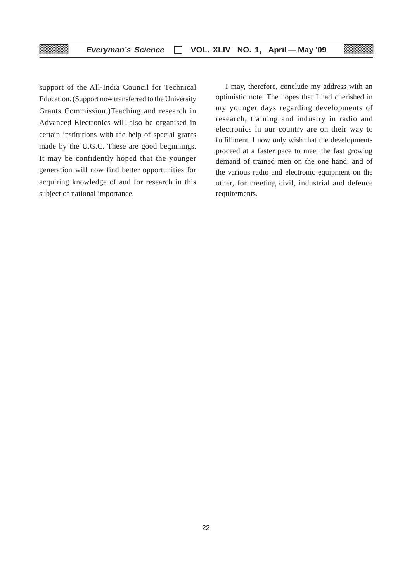support of the All-India Council for Technical Education. (Support now transferred to the University Grants Commission.)Teaching and research in Advanced Electronics will also be organised in certain institutions with the help of special grants made by the U.G.C. These are good beginnings. It may be confidently hoped that the younger generation will now find better opportunities for acquiring knowledge of and for research in this subject of national importance.

I may, therefore, conclude my address with an optimistic note. The hopes that I had cherished in my younger days regarding developments of research, training and industry in radio and electronics in our country are on their way to fulfillment. I now only wish that the developments proceed at a faster pace to meet the fast growing demand of trained men on the one hand, and of the various radio and electronic equipment on the other, for meeting civil, industrial and defence requirements.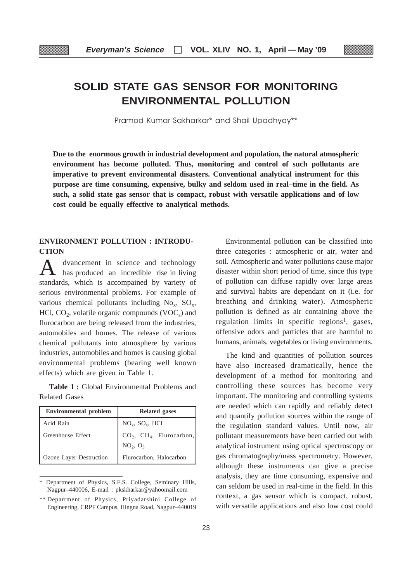## **SOLID STATE GAS SENSOR FOR MONITORING ENVIRONMENTAL POLLUTION**

Pramod Kumar Sakharkar\* and Shail Upadhyay\*\*

**Due to the enormous growth in industrial development and population, the natural atmospheric environment has become polluted. Thus, monitoring and control of such pollutants are imperative to prevent environmental disasters. Conventional analytical instrument for this purpose are time consuming, expensive, bulky and seldom used in real–time in the field. As such, a solid state gas sensor that is compact, robust with versatile applications and of low cost could be equally effective to analytical methods.**

#### **ENVIRONMENT POLLUTION : INTRODU-CTION**

dvancement in science and technology has produced an incredible rise in living standards, which is accompained by variety of serious environmental problems. For example of various chemical pollutants including  $No_x$ ,  $SO_x$ , HCl,  $CO<sub>2</sub>$ , volatile organic compounds (VOC<sub>s</sub>) and flurocarbon are being released from the industries, automobiles and homes. The release of various chemical pollutants into atmosphere by various industries, automobiles and homes is causing global environmental problems (bearing well known effects) which are given in Table 1. A

**Table 1 :** Global Environmental Problems and Related Gases

| <b>Environmental problem</b> | <b>Related gases</b>                                                        |  |
|------------------------------|-----------------------------------------------------------------------------|--|
| Acid Rain                    | $NO_x$ , $SO_x$ , HCL                                                       |  |
| Greenhouse Effect            | $CO_2$ , CH <sub>4</sub> , Flurocarbon,<br>NO <sub>2</sub> , O <sub>3</sub> |  |
| Ozone Layer Destruction      | Flurocarbon, Halocarbon                                                     |  |

Department of Physics, S.F.S. College, Seminary Hills, Nagpur–440006, E-mail : pkskharkar@yahoomail.com

Environmental pollution can be classified into three categories : atmospheric or air, water and soil. Atmospheric and water pollutions cause major disaster within short period of time, since this type of pollution can diffuse rapidly over large areas and survival habits are dependant on it (i.e. for breathing and drinking water). Atmospheric pollution is defined as air containing above the regulation limits in specific regions<sup>1</sup>, gases, offensive odors and particles that are harmful to humans, animals, vegetables or living environments.

The kind and quantities of pollution sources have also increased dramatically, hence the development of a method for monitoring and controlling these sources has become very important. The monitoring and controlling systems are needed which can rapidly and reliably detect and quantify pollution sources within the range of the regulation standard values. Until now, air pollutant measurements have been carried out with analytical instrument using optical spectroscopy or gas chromatography/mass spectrometry. However, although these instruments can give a precise analysis, they are time consuming, expensive and can seldom be used in real-time in the field. In this context, a gas sensor which is compact, robust, with versatile applications and also low cost could

<sup>\*\*</sup> Department of Physics, Priyadarshini College of Engineering, CRPF Campus, Hingna Road, Nagpur–440019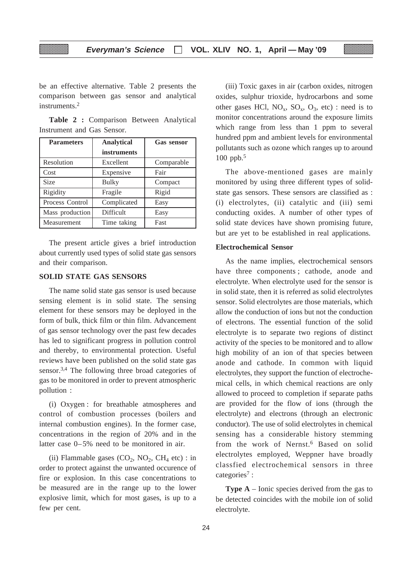be an effective alternative. Table 2 presents the comparison between gas sensor and analytical instruments.2

**Table 2 :** Comparison Between Analytical Instrument and Gas Sensor.

| <b>Parameters</b> | <b>Analytical</b> | <b>Gas sensor</b> |
|-------------------|-------------------|-------------------|
|                   | instruments       |                   |
| Resolution        | Excellent         | Comparable        |
| Cost              | Expensive         | Fair              |
| Size              | <b>Bulky</b>      | Compact           |
| Rigidity          | Fragile           | Rigid             |
| Process Control   | Complicated       | Easy              |
| Mass production   | Difficult         | Easy              |
| Measurement       | Time taking       | Fast              |

The present article gives a brief introduction about currently used types of solid state gas sensors and their comparison.

#### **SOLID STATE GAS SENSORS**

The name solid state gas sensor is used because sensing element is in solid state. The sensing element for these sensors may be deployed in the form of bulk, thick film or thin film. Advancement of gas sensor technology over the past few decades has led to significant progress in pollution control and thereby, to environmental protection. Useful reviews have been published on the solid state gas sensor.3,4 The following three broad categories of gas to be monitored in order to prevent atmospheric pollution :

(i) Oxygen : for breathable atmospheres and control of combustion processes (boilers and internal combustion engines). In the former case, concentrations in the region of 20% and in the latter case 0–5% need to be monitored in air.

(ii) Flammable gases  $(CO_2, NO_2, CH_4 \text{ etc})$ : in order to protect against the unwanted occurence of fire or explosion. In this case concentrations to be measured are in the range up to the lower explosive limit, which for most gases, is up to a few per cent.

(iii) Toxic gaxes in air (carbon oxides, nitrogen oxides, sulphur trioxide, hydrocarbons and some other gases HCl,  $NO_x$ ,  $SO_x$ ,  $O_3$ , etc) : need is to monitor concentrations around the exposure limits which range from less than 1 ppm to several hundred ppm and ambient levels for environmental pollutants such as ozone which ranges up to around 100 ppb.5

The above-mentioned gases are mainly monitored by using three different types of solidstate gas sensors. These sensors are classified as : (i) electrolytes, (ii) catalytic and (iii) semi conducting oxides. A number of other types of solid state devices have shown promising future, but are yet to be established in real applications.

#### **Electrochemical Sensor**

As the name implies, electrochemical sensors have three components ; cathode, anode and electrolyte. When electrolyte used for the sensor is in solid state, then it is referred as solid electrolytes sensor. Solid electrolytes are those materials, which allow the conduction of ions but not the conduction of electrons. The essential function of the solid electrolyte is to separate two regions of distinct activity of the species to be monitored and to allow high mobility of an ion of that species between anode and cathode. In common with liquid electrolytes, they support the function of electrochemical cells, in which chemical reactions are only allowed to proceed to completion if separate paths are provided for the flow of ions (through the electrolyte) and electrons (through an electronic conductor). The use of solid electrolytes in chemical sensing has a considerable history stemming from the work of Nernst.6 Based on solid electrolytes employed, Weppner have broadly classfied electrochemical sensors in three categories<sup>7</sup>:

**Type A** – Ionic species derived from the gas to be detected coincides with the mobile ion of solid electrolyte.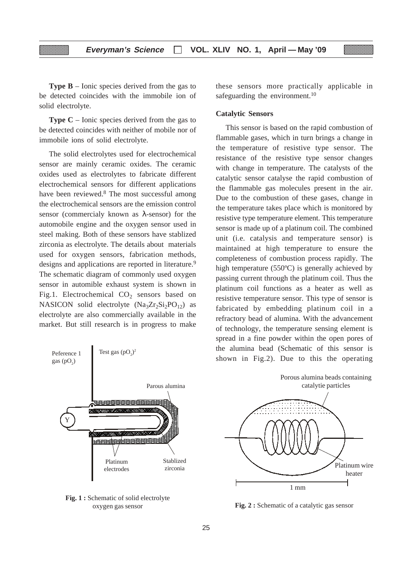**Type B** – Ionic species derived from the gas to be detected coincides with the immobile ion of solid electrolyte.

**Type C** – Ionic species derived from the gas to be detected coincides with neither of mobile nor of immobile ions of solid electrolyte.

The solid electrolytes used for electrochemical sensor are mainly ceramic oxides. The ceramic oxides used as electrolytes to fabricate different electrochemical sensors for different applications have been reviewed.8 The most successful among the electrochemical sensors are the emission control sensor (commercialy known as λ-sensor) for the automobile engine and the oxygen sensor used in steel making. Both of these sensors have stablized zirconia as electrolyte. The details about materials used for oxygen sensors, fabrication methods, designs and applications are reported in literature.<sup>9</sup> The schematic diagram of commonly used oxygen sensor in automible exhaust system is shown in Fig.1. Electrochemical  $CO<sub>2</sub>$  sensors based on NASICON solid electrolyte  $(Na_3Zr_2Si_2PO_{12})$  as electrolyte are also commercially available in the market. But still research is in progress to make



Fig. 1 : Schematic of solid electrolyte oxygen gas sensor

these sensors more practically applicable in safeguarding the environment.<sup>10</sup>

#### **Catalytic Sensors**

This sensor is based on the rapid combustion of flammable gases, which in turn brings a change in the temperature of resistive type sensor. The resistance of the resistive type sensor changes with change in temperature. The catalysts of the catalytic sensor catalyse the rapid combustion of the flammable gas molecules present in the air. Due to the combustion of these gases, change in the temperature takes place which is monitored by resistive type temperature element. This temperature sensor is made up of a platinum coil. The combined unit (i.e. catalysis and temperature sensor) is maintained at high temperature to ensure the completeness of combustion process rapidly. The high temperature (550ºC) is generally achieved by passing current through the platinum coil. Thus the platinum coil functions as a heater as well as resistive temperature sensor. This type of sensor is fabricated by embedding platinum coil in a refractory bead of alumina. With the advancement of technology, the temperature sensing element is spread in a fine powder within the open pores of the alumina bead (Schematic of this sensor is shown in Fig.2). Due to this the operating



**Fig. 2 :** Schematic of a catalytic gas sensor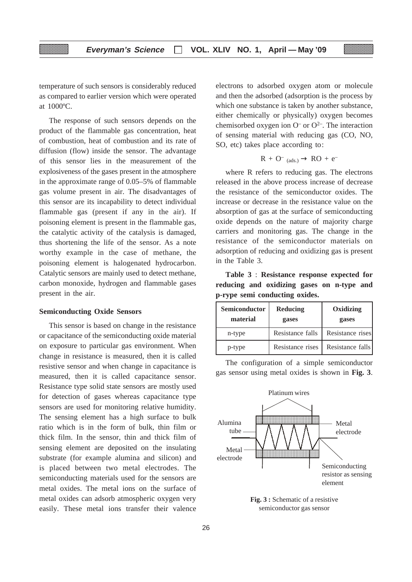temperature of such sensors is considerably reduced as compared to earlier version which were operated at 1000ºC.

The response of such sensors depends on the product of the flammable gas concentration, heat of combustion, heat of combustion and its rate of diffusion (flow) inside the sensor. The advantage of this sensor lies in the measurement of the explosiveness of the gases present in the atmosphere in the approximate range of 0.05–5% of flammable gas volume present in air. The disadvantages of this sensor are its incapability to detect individual flammable gas (present if any in the air). If poisoning element is present in the flammable gas, the catalytic activity of the catalysis is damaged, thus shortening the life of the sensor. As a note worthy example in the case of methane, the poisoning element is halogenated hydrocarbon. Catalytic sensors are mainly used to detect methane, carbon monoxide, hydrogen and flammable gases present in the air.

#### **Semiconducting Oxide Sensors**

This sensor is based on change in the resistance or capacitance of the semiconducting oxide material on exposure to particular gas environment. When change in resistance is measured, then it is called resistive sensor and when change in capacitance is measured, then it is called capacitance sensor. Resistance type solid state sensors are mostly used for detection of gases whereas capacitance type sensors are used for monitoring relative humidity. The sensing element has a high surface to bulk ratio which is in the form of bulk, thin film or thick film. In the sensor, thin and thick film of sensing element are deposited on the insulating substrate (for example alumina and silicon) and is placed between two metal electrodes. The semiconducting materials used for the sensors are metal oxides. The metal ions on the surface of metal oxides can adsorb atmospheric oxygen very easily. These metal ions transfer their valence

electrons to adsorbed oxygen atom or molecule and then the adsorbed (adsorption is the process by which one substance is taken by another substance, either chemically or physically) oxygen becomes chemisorbed oxygen ion  $O^-$  or  $O^{2-}$ . The interaction of sensing material with reducing gas (CO, NO, SO, etc) takes place according to:

$$
R\,+\,O^-\,\,{}_{(ads.)}\,\to\,RO\,+\,e^-
$$

where R refers to reducing gas. The electrons released in the above process increase of decrease the resistance of the semiconductor oxides. The increase or decrease in the resistance value on the absorption of gas at the surface of semiconducting oxide depends on the nature of majority charge carriers and monitoring gas. The change in the resistance of the semiconductor materials on adsorption of reducing and oxidizing gas is present in the Table 3.

**Table 3** : **Resistance response expected for reducing and oxidizing gases on n-type and p-rype semi conducting oxides.**

| <b>Semiconductor</b><br>material | Reducing<br>gases | Oxidizing<br>gases |
|----------------------------------|-------------------|--------------------|
| n-type                           | Resistance falls  | Resistance rises   |
| p-type                           | Resistance rises  | Resistance falls   |

The configuration of a simple semiconductor gas sensor using metal oxides is shown in **Fig. 3**.



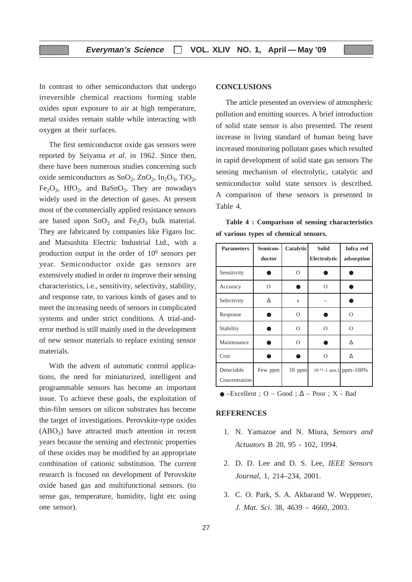In contrast to other semiconductors that undergo irreversible chemical reactions forming stable oxides upon exposure to air at high temperature, metal oxides remain stable while interacting with oxygen at their surfaces.

The first semiconductor oxide gas sensors were reported by Seiyama *et al*. in 1962. Since then, there have been numerous studies concerning such oxide semiconductors as  $SnO<sub>2</sub>$ ,  $ZnO<sub>2</sub>$ ,  $In<sub>2</sub>O<sub>3</sub>$ , TiO<sub>2</sub>,  $Fe<sub>2</sub>O<sub>3</sub>$ , HfO<sub>2</sub>, and BaSnO<sub>3</sub>. They are nowadays widely used in the detection of gases. At present most of the commercially applied resistance sensors are based upon  $SnO<sub>2</sub>$  and  $Fe<sub>2</sub>O<sub>3</sub>$  bulk material. They are fabricated by companies like Figaro Inc. and Matsushita Electric Industrial Ltd., with a production output in the order of 106 sensors per year. Semiconductor oxide gas sensors are extensively studied in order to improve their sensing characteristics, i.e., sensitivity, selectivity, stability, and response rate, to various kinds of gases and to meet the increasing needs of sensors in complicated systems and under strict conditions. A trial-anderror method is still mainly used in the development of new sensor materials to replace existing sensor materials.

With the advent of automatic control applications, the need for miniaturized, intelligent and programmable sensors has become an important issue. To achieve these goals, the exploitation of thin-film sensors on silicon substrates has become the target of investigations. Perovskite-type oxides  $(ABO<sub>3</sub>)$  have attracted much attention in recent years because the sensing and electronic properties of these oxides may be modified by an appropriate combination of cationic substitution. The current research is focused on development of Perovskite oxide based gas and multifunctional sensors. (to sense gas, temperature, humidity, light etc using one sensor).

#### **CONCLUSIONS**

The article presented an overview of atmospheric pollution and emitting sources. A brief introduction of solid state sensor is also presented. The resent increase in living standard of human being have increased monitoring pollutant gases which resulted in rapid development of solid state gas sensors The sensing mechanism of electrolytic, catalytic and semiconductor solid state sensors is described. A comparison of these sensors is presented in Table 4.

**Table 4 : Comparison of sensing characteristics of various types of chemical sensors.**

| <b>Parameters</b>           | Semicon-<br>ductor | Catalytic   | <b>Solid</b><br>Electrolytic | Infra red<br>adsorption |
|-----------------------------|--------------------|-------------|------------------------------|-------------------------|
| Sensitivity                 |                    | $\Omega$    |                              |                         |
| Accuracy                    | $\Omega$           |             | $\Omega$                     |                         |
| Selectivity                 | Λ                  | $\mathbf x$ |                              |                         |
| Response                    |                    | $\Omega$    |                              | $\Omega$                |
| Stability                   |                    | O           | Ω                            | $\circ$                 |
| Maintenance                 |                    | $\Omega$    |                              | Δ                       |
| Cost                        |                    |             | $\Omega$                     | Δ                       |
| Detectable<br>Concentration | Few ppm            | $10$ ppm    |                              | 10-11-1 atm.1 ppm-100%  |

#### $\bullet$  –Excellent ; O – Good ;  $\Delta$  – Poor ; X - Bad

#### **REFERENCES**

- 1. N. Yamazoe and N. Miura, *Sensors and Actuators* B 20, 95 - 102, 1994.
- 2. D. D. Lee and D. S. Lee, *IEEE Sensors Journal,* 1, 214–234, 2001.
- 3. C. O. Park, S. A. Akbarand W. Weppener, *J. Mat. Sci*. 38, 4639 – 4660, 2003.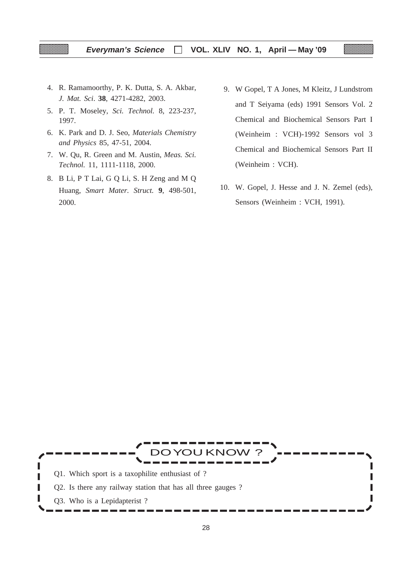- 4. R. Ramamoorthy, P. K. Dutta, S. A. Akbar, *J. Mat. Sci*. **38**, 4271-4282, 2003.
- 5. P. T. Moseley, *Sci. Technol.* 8, 223-237, 1997.
- 6. K. Park and D. J. Seo, *Materials Chemistry and Physics* 85, 47-51, 2004.
- 7. W. Qu, R. Green and M. Austin, *Meas. Sci. Technol.* 11, 1111-1118, 2000.
- 8. B Li, P T Lai, G Q Li, S. H Zeng and M Q Huang, *Smart Mater. Struct.* **9**, 498-501, 2000.
- 9. W Gopel, T A Jones, M Kleitz, J Lundstrom and T Seiyama (eds) 1991 Sensors Vol. 2 Chemical and Biochemical Sensors Part I (Weinheim : VCH)-1992 Sensors vol 3 Chemical and Biochemical Sensors Part II (Weinheim : VCH).
- 10. W. Gopel, J. Hesse and J. N. Zemel (eds), Sensors (Weinheim : VCH, 1991).

DO YOU KNOW Q1. Which sport is a taxophilite enthusiast of ? п Q2. Is there any railway station that has all three gauges ? I Π Q3. Who is a Lepidapterist ?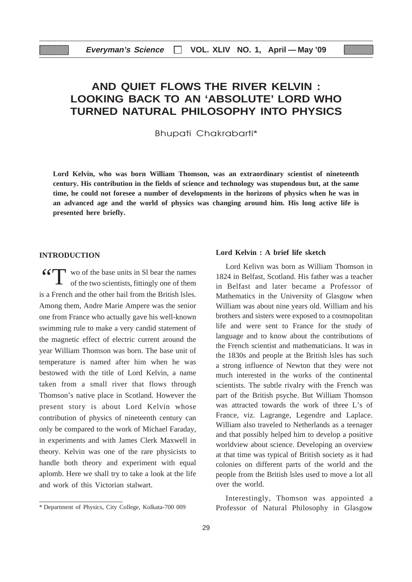## **AND QUIET FLOWS THE RIVER KELVIN : LOOKING BACK TO AN 'ABSOLUTE' LORD WHO TURNED NATURAL PHILOSOPHY INTO PHYSICS**

Bhupati Chakrabarti\*

**Lord Kelvin, who was born William Thomson, was an extraordinary scientist of nineteenth century. His contribution in the fields of science and technology was stupendous but, at the same time, he could not foresee a number of developments in the horizons of physics when he was in an advanced age and the world of physics was changing around him. His long active life is presented here briefly.**

#### **INTRODUCTION**

**"**T wo of the base units in SI bear the names of the two scientists, fittingly one of them is a French and the other hail from the British lsles. Among them, Andre Marie Ampere was the senior one from France who actually gave his well-known swimming rule to make a very candid statement of the magnetic effect of electric current around the year William Thomson was born. The base unit of temperature is named after him when he was bestowed with the title of Lord Kelvin, a name taken from a small river that flows through Thomson's native place in Scotland. However the present story is about Lord Kelvin whose contribution of physics of nineteenth century can only be compared to the work of Michael Faraday, in experiments and with James Clerk Maxwell in theory. Kelvin was one of the rare physicists to handle both theory and experiment with equal aplomb. Here we shall try to take a look at the life and work of this Victorian stalwart.

#### **Lord Kelvin : A brief life sketch**

Lord Kelivn was born as William Thomson in 1824 in Belfast, Scotland. His father was a teacher in Belfast and later became a Professor of Mathematics in the University of Glasgow when William was about nine years old. William and his brothers and sisters were exposed to a cosmopolitan life and were sent to France for the study of language and to know about the contributions of the French scientist and mathematicians. It was in the 1830s and people at the British lsles has such a strong influence of Newton that they were not much interested in the works of the continental scientists. The subtle rivalry with the French was part of the British psyche. But William Thomson was attracted towards the work of three L's of France, viz. Lagrange, Legendre and Laplace. William also traveled to Netherlands as a teenager and that possibly helped him to develop a positive worldview about science. Developing an overview at that time was typical of British society as it had colonies on different parts of the world and the people from the British lsles used to move a lot all over the world.

Interestingly, Thomson was appointed a \* Department of Physics, City College, Kolkata-700 009 Professor of Natural Philosophy in Glasgow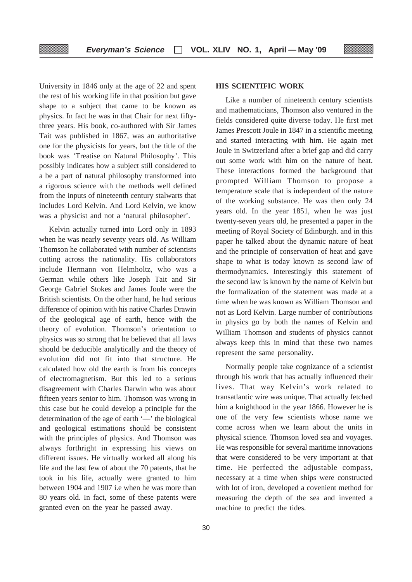University in 1846 only at the age of 22 and spent the rest of his working life in that position but gave shape to a subject that came to be known as physics. In fact he was in that Chair for next fiftythree years. His book, co-authored with Sir James Tait was published in 1867, was an authoritative one for the physicists for years, but the title of the book was 'Treatise on Natural Philosophy'. This possibly indicates how a subject still considered to a be a part of natural philosophy transformed into a rigorous science with the methods well defined from the inputs of nineteenth century stalwarts that includes Lord Kelvin. And Lord Kelvin, we know was a physicist and not a 'natural philosopher'.

Kelvin actually turned into Lord only in 1893 when he was nearly seventy years old. As William Thomson he collaborated with number of scientists cutting across the nationality. His collaborators include Hermann von Helmholtz, who was a German while others like Joseph Tait and Sir George Gabriel Stokes and James Joule were the British scientists. On the other hand, he had serious difference of opinion with his native Charles Drawin of the geological age of earth, hence with the theory of evolution. Thomson's orientation to physics was so strong that he believed that all laws should be deducible analytically and the theory of evolution did not fit into that structure. He calculated how old the earth is from his concepts of electromagnetism. But this led to a serious disagreement with Charles Darwin who was about fifteen years senior to him. Thomson was wrong in this case but he could develop a principle for the determination of the age of earth '—' the biological and geological estimations should be consistent with the principles of physics. And Thomson was always forthright in expressing his views on different issues. He virtually worked all along his life and the last few of about the 70 patents, that he took in his life, actually were granted to him between 1904 and 1907 i.e when he was more than 80 years old. In fact, some of these patents were granted even on the year he passed away.

#### **HIS SCIENTIFIC WORK**

Like a number of nineteenth century scientists and mathematicians, Thomson also ventured in the fields considered quite diverse today. He first met James Prescott Joule in 1847 in a scientific meeting and started interacting with him. He again met Joule in Switzerland after a brief gap and did carry out some work with him on the nature of heat. These interactions formed the background that prompted William Thomson to propose a temperature scale that is independent of the nature of the working substance. He was then only 24 years old. In the year 1851, when he was just twenty-seven years old, he presented a paper in the meeting of Royal Society of Edinburgh. and in this paper he talked about the dynamic nature of heat and the principle of conservation of heat and gave shape to what is today known as second law of thermodynamics. Interestingly this statement of the second law is known by the name of Kelvin but the formalization of the statement was made at a time when he was known as William Thomson and not as Lord Kelvin. Large number of contributions in physics go by both the names of Kelvin and William Thomson and students of physics cannot always keep this in mind that these two names represent the same personality.

Normally people take cognizance of a scientist through his work that has actually influenced their lives. That way Kelvin's work related to transatlantic wire was unique. That actually fetched him a knighthood in the year 1866. However he is one of the very few scientists whose name we come across when we learn about the units in physical science. Thomson loved sea and voyages. He was responsible for several maritime innovations that were considered to be very important at that time. He perfected the adjustable compass, necessary at a time when ships were constructed with lot of iron, developed a covenient method for measuring the depth of the sea and invented a machine to predict the tides.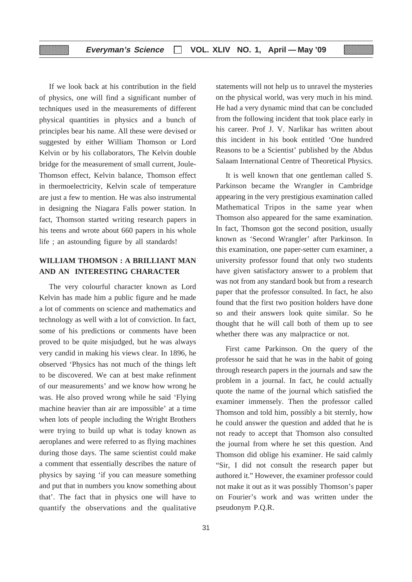If we look back at his contribution in the field of physics, one will find a significant number of techniques used in the measurements of different physical quantities in physics and a bunch of principles bear his name. All these were devised or suggested by either William Thomson or Lord Kelvin or by his collaborators, The Kelvin double bridge for the measurement of small current, Joule-Thomson effect, Kelvin balance, Thomson effect in thermoelectricity, Kelvin scale of temperature are just a few to mention. He was also instrumental in designing the Niagara Falls power station. In fact, Thomson started writing research papers in his teens and wrote about 660 papers in his whole life ; an astounding figure by all standards!

### **WILLIAM THOMSON : A BRILLIANT MAN AND AN INTERESTING CHARACTER**

The very colourful character known as Lord Kelvin has made him a public figure and he made a lot of comments on science and mathematics and technology as well with a lot of conviction. In fact, some of his predictions or comments have been proved to be quite misjudged, but he was always very candid in making his views clear. In 1896, he observed 'Physics has not much of the things left to be discovered. We can at best make refinment of our measurements' and we know how wrong he was. He also proved wrong while he said 'Flying machine heavier than air are impossible' at a time when lots of people including the Wright Brothers were trying to build up what is today known as aeroplanes and were referred to as flying machines during those days. The same scientist could make a comment that essentially describes the nature of physics by saying 'if you can measure something and put that in numbers you know something about that'. The fact that in physics one will have to quantify the observations and the qualitative

statements will not help us to unravel the mysteries on the physical world, was very much in his mind. He had a very dynamic mind that can be concluded from the following incident that took place early in his career. Prof J. V. Narlikar has written about this incident in his book entitled 'One hundred Reasons to be a Scientist' published by the Abdus Salaam International Centre of Theoretical Physics.

It is well known that one gentleman called S. Parkinson became the Wrangler in Cambridge appearing in the very prestigious examination called Mathematical Tripos in the same year when Thomson also appeared for the same examination. In fact, Thomson got the second position, usually known as 'Second Wrangler' after Parkinson. In this examination, one paper-setter cum examiner, a university professor found that only two students have given satisfactory answer to a problem that was not from any standard book but from a research paper that the professor consulted. In fact, he also found that the first two position holders have done so and their answers look quite similar. So he thought that he will call both of them up to see whether there was any malpractice or not.

First came Parkinson. On the query of the professor he said that he was in the habit of going through research papers in the journals and saw the problem in a journal. In fact, he could actually quote the name of the journal which satisfied the examiner immensely. Then the professor called Thomson and told him, possibly a bit sternly, how he could answer the question and added that he is not ready to accept that Thomson also consulted the journal from where he set this question. And Thomson did oblige his examiner. He said calmly "Sir, I did not consult the research paper but authored it." However, the examiner professor could not make it out as it was possibly Thomson's paper on Fourier's work and was written under the pseudonym P.Q.R.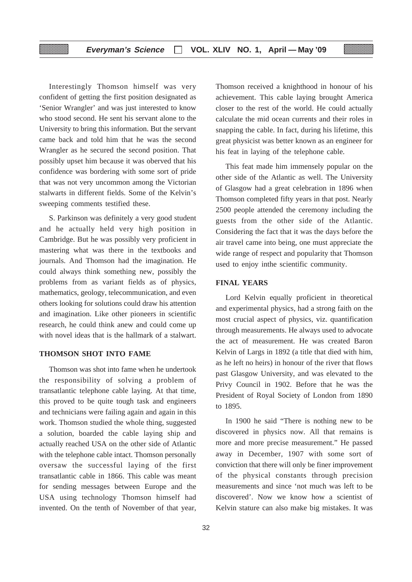Interestingly Thomson himself was very confident of getting the first position designated as 'Senior Wrangler' and was just interested to know who stood second. He sent his servant alone to the University to bring this information. But the servant came back and told him that he was the second Wrangler as he secured the second position. That possibly upset him because it was oberved that his confidence was bordering with some sort of pride that was not very uncommon among the Victorian stalwarts in different fields. Some of the Kelvin's sweeping comments testified these.

S. Parkinson was definitely a very good student and he actually held very high position in Cambridge. But he was possibly very proficient in mastering what was there in the textbooks and journals. And Thomson had the imagination. He could always think something new, possibly the problems from as variant fields as of physics, mathematics, geology, telecommunication, and even others looking for solutions could draw his attention and imagination. Like other pioneers in scientific research, he could think anew and could come up with novel ideas that is the hallmark of a stalwart.

#### **THOMSON SHOT INTO FAME**

Thomson was shot into fame when he undertook the responsibility of solving a problem of transatlantic telephone cable laying. At that time, this proved to be quite tough task and engineers and technicians were failing again and again in this work. Thomson studied the whole thing, suggested a solution, boarded the cable laying ship and actually reached USA on the other side of Atlantic with the telephone cable intact. Thomson personally oversaw the successful laying of the first transatlantic cable in 1866. This cable was meant for sending messages between Europe and the USA using technology Thomson himself had invented. On the tenth of November of that year,

Thomson received a knighthood in honour of his achievement. This cable laying brought America closer to the rest of the world. He could actually calculate the mid ocean currents and their roles in snapping the cable. In fact, during his lifetime, this great physicist was better known as an engineer for his feat in laying of the telephone cable.

This feat made him immensely popular on the other side of the Atlantic as well. The University of Glasgow had a great celebration in 1896 when Thomson completed fifty years in that post. Nearly 2500 people attended the ceremony including the guests from the other side of the Atlantic. Considering the fact that it was the days before the air travel came into being, one must appreciate the wide range of respect and popularity that Thomson used to enjoy inthe scientific community.

#### **FINAL YEARS**

Lord Kelvin equally proficient in theoretical and experimental physics, had a strong faith on the most crucial aspect of physics, viz. quantification through measurements. He always used to advocate the act of measurement. He was created Baron Kelvin of Largs in 1892 (a title that died with him, as he left no heirs) in honour of the river that flows past Glasgow University, and was elevated to the Privy Council in 1902. Before that he was the President of Royal Society of London from 1890 to 1895.

In 1900 he said "There is nothing new to be discovered in physics now. All that remains is more and more precise measurement." He passed away in December, 1907 with some sort of conviction that there will only be finer improvement of the physical constants through precision measurements and since 'not much was left to be discovered'. Now we know how a scientist of Kelvin stature can also make big mistakes. It was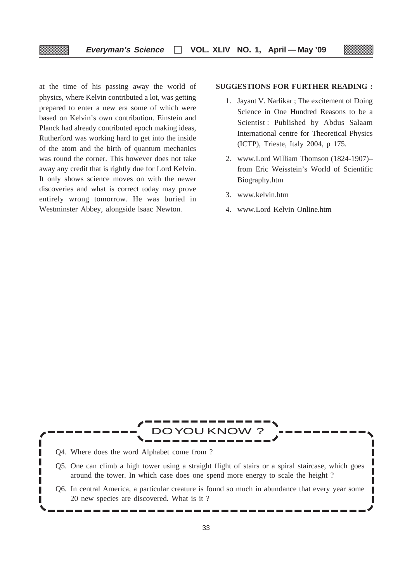at the time of his passing away the world of physics, where Kelvin contributed a lot, was getting prepared to enter a new era some of which were based on Kelvin's own contribution. Einstein and Planck had already contributed epoch making ideas, Rutherford was working hard to get into the inside of the atom and the birth of quantum mechanics was round the corner. This however does not take away any credit that is rightly due for Lord Kelvin. It only shows science moves on with the newer discoveries and what is correct today may prove entirely wrong tomorrow. He was buried in Westminster Abbey, alongside lsaac Newton.

#### **SUGGESTIONS FOR FURTHER READING :**

- 1. Jayant V. Narlikar ; The excitement of Doing Science in One Hundred Reasons to be a Scientist : Published by Abdus Salaam International centre for Theoretical Physics (ICTP), Trieste, Italy 2004, p 175.
- 2. www.Lord William Thomson (1824-1907)– from Eric Weisstein's World of Scientific Biography.htm
- 3. www.kelvin.htm
- 4. www.Lord Kelvin Online.htm

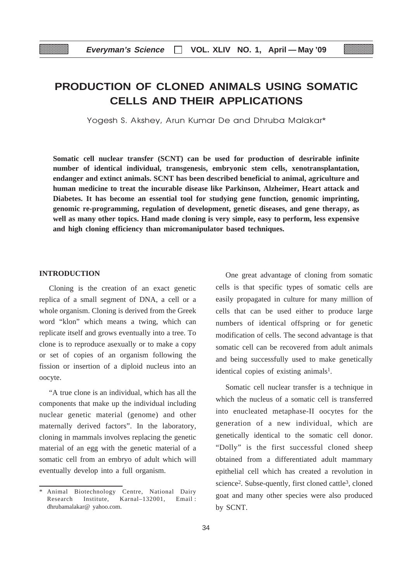## **PRODUCTION OF CLONED ANIMALS USING SOMATIC CELLS AND THEIR APPLICATIONS**

Yogesh S. Akshev, Arun Kumar De and Dhruba Malakar\*

**Somatic cell nuclear transfer (SCNT) can be used for production of desrirable infinite number of identical individual, transgenesis, embryonic stem cells, xenotransplantation, endanger and extinct animals. SCNT has been described beneficial to animal, agriculture and human medicine to treat the incurable disease like Parkinson, Alzheimer, Heart attack and Diabetes. It has become an essential tool for studying gene function, genomic imprinting, genomic re-programming, regulation of development, genetic diseases, and gene therapy, as well as many other topics. Hand made cloning is very simple, easy to perform, less expensive and high cloning efficiency than micromanipulator based techniques.**

#### **INTRODUCTION**

Cloning is the creation of an exact genetic replica of a small segment of DNA, a cell or a whole organism. Cloning is derived from the Greek word "klon" which means a twing, which can replicate itself and grows eventually into a tree. To clone is to reproduce asexually or to make a copy or set of copies of an organism following the fission or insertion of a diploid nucleus into an oocyte.

"A true clone is an individual, which has all the components that make up the individual including nuclear genetic material (genome) and other maternally derived factors". In the laboratory, cloning in mammals involves replacing the genetic material of an egg with the genetic material of a somatic cell from an embryo of adult which will eventually develop into a full organism.

One great advantage of cloning from somatic cells is that specific types of somatic cells are easily propagated in culture for many million of cells that can be used either to produce large numbers of identical offspring or for genetic modification of cells. The second advantage is that somatic cell can be recovered from adult animals and being successfully used to make genetically identical copies of existing animals<sup>1</sup>.

Somatic cell nuclear transfer is a technique in which the nucleus of a somatic cell is transferred into enucleated metaphase-II oocytes for the generation of a new individual, which are genetically identical to the somatic cell donor. "Dolly" is the first successful cloned sheep obtained from a differentiated adult mammary epithelial cell which has created a revolution in science<sup>2</sup>. Subse-quently, first cloned cattle<sup>3</sup>, cloned goat and many other species were also produced by SCNT.

<sup>\*</sup> Animal Biotechnology Centre, National Dairy Research Institute, Karnal–132001, Email : dhrubamalakar@ yahoo.com.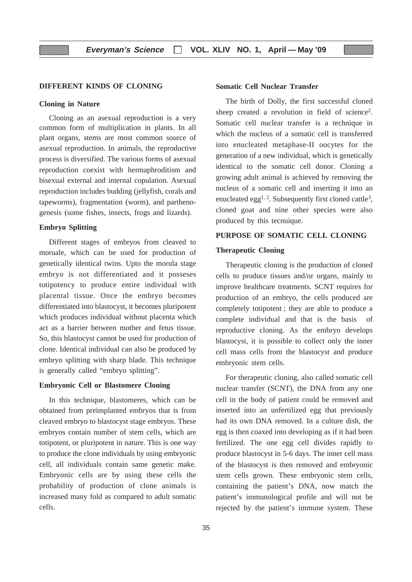#### **DIFFERENT KINDS OF CLONING**

#### **Cloning in Nature**

Cloning as an asexual reproduction is a very common form of multiplication in plants. In all plant organs, stems are most common source of asexual reproduction. In animals, the reproductive process is diversified. The various forms of asexual reproduction coexist with hermaphroditism and bisexual external and internal copulation. Asexual reproduction includes budding (jellyfish, corals and tapeworms), fragmentation (worm), and parthenogenesis (some fishes, insects, frogs and lizards).

#### **Embryo Splitting**

Different stages of embryos from cleaved to moruale, which can be used for production of genetically identical twins. Upto the morula stage embryo is not differentiated and it posseses totipotency to produce entire individual with placental tissue. Once the embryo becomes differentiated into blastocyst, it becomes pluripotent which produces individual without placenta which act as a barrier between mother and fetus tissue. So, this blastocyst cannot be used for production of clone. Identical individual can also be produced by embryo splitting with sharp blade. This technique is generally called "embryo splitting".

#### **Embryonic Cell or Blastomere Cloning**

In this technique, blastomeres, which can be obtained from preimplanted embryos that is from cleaved embryo to blastocyst stage embryos. These embryos contain number of stem cells, which are totipotent, or pluripotent in nature. This is one way to produce the clone individuals by using embryonic cell, all individuals contain same genetic make. Embryonic cells are by using these cells the probability of production of clone animals is increased many fold as compared to adult somatic cells.

#### **Somatic Cell Nuclear Transfer**

The birth of Dolly, the first successful cloned sheep created a revolution in field of science<sup>2</sup>. Somatic cell nuclear transfer is a technique in which the nucleus of a somatic cell is transferred into enucleated metaphase-II oocytes for the generation of a new individual, which is genetically identical to the somatic cell donor. Cloning a growing adult animal is achieved by removing the nucleus of a somatic cell and inserting it into an enucleated egg<sup>1, 2</sup>. Subsequently first cloned cattle<sup>3</sup>, cloned goat and nine other species were also produced by this tecnuique.

rw

#### **PURPOSE OF SOMATIC CELL CLONING**

#### **Therapeutic Cloning**

Therapeutic cloning is the production of cloned cells to produce tissues and/or organs, mainly to improve healthcare treatments. SCNT requires for production of an embryo, the cells produced are completely totipotent ; they are able to produce a complete individual and that is the basis of reproductive cloning. As the embryo develops blastocyst, it is possible to collect only the inner cell mass cells from the blastocyst and produce embryonic stem cells.

For therapeutic cloning, also called somatic cell nuclear transfer (SCNT), the DNA from any one cell in the body of patient could be removed and inserted into an unfertilized egg that previously had its own DNA removed. In a culture dish, the egg is then coaxed into developing as if it had been fertilized. The one egg cell divides rapidly to produce blastocyst in 5-6 days. The inner cell mass of the blastocyst is then removed and embryonic stem cells grown. These embryonic stem cells, containing the patient's DNA, now match the patient's immunological profile and will not be rejected by the patient's immune system. These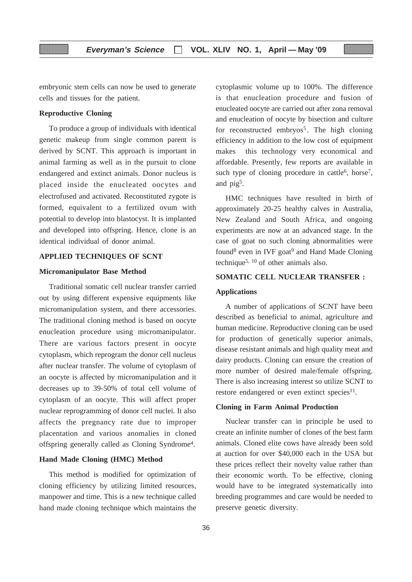embryonic stem cells can now be used to generate cells and tissues for the patient.

#### **Reproductive Cloning**

To produce a group of individuals with identical genetic makeup from single common parent is derived by SCNT. This approach is important in animal farming as well as in the pursuit to clone endangered and extinct animals. Donor nucleus is placed inside the enucleated oocytes and electrofused and activated. Reconstituted zygote is formed, equivalent to a fertilized ovum with potential to develop into blastocyst. It is implanted and developed into offspring. Hence, clone is an identical individual of donor animal.

#### **APPLIED TECHNIQUES OF SCNT**

#### **Micromanipulator Base Method**

Traditional somatic cell nuclear transfer carried out by using different expensive equipments like micromanipulation system, and there accessories. The traditional cloning method is based on oocyte enucleation procedure using micromanipulator. There are various factors present in oocyte cytoplasm, which reprogram the donor cell nucleus after nuclear transfer. The volume of cytoplasm of an oocyte is affected by micromanipulation and it decreases up to 39-50% of total cell volume of cytoplasm of an oocyte. This will affect proper nuclear reprogramming of donor cell nuclei. It also affects the pregnancy rate due to improper placentation and various anomalies in cloned offspring generally called as Cloning Syndrome4.

#### **Hand Made Cloning (HMC) Method**

This method is modified for optimization of cloning efficiency by utilizing limited resources, manpower and time. This is a new technique called hand made cloning technique which maintains the cytoplasmic volume up to 100%. The difference is that enucleation procedure and fusion of enucleated oocyte are carried out after zona removal and enucleation of oocyte by bisection and culture for reconstructed embryos<sup>5</sup>. The high cloning efficiency in addition to the low cost of equipment makes this technology very economical and affordable. Presently, few reports are available in such type of cloning procedure in cattle<sup>6</sup>, horse<sup>7</sup>, and pig5.

HMC techniques have resulted in birth of approximately 20-25 healthy calves in Australia, New Zealand and South Africa, and ongoing experiments are now at an advanced stage. In the case of goat no such cloning abnormalities were found<sup>8</sup> even in IVF goat<sup>9</sup> and Hand Made Cloning technique5, 10 of other animals also.

#### **SOMATIC CELL NUCLEAR TRANSFER :**

#### **Applications**

A number of applications of SCNT have been described as beneficial to animal, agriculture and human medicine. Reproductive cloning can be used for production of genetically superior animals, disease resistant animals and high quality meat and dairy products. Cloning can ensure the creation of more number of desired male/female offspring. There is also increasing interest so utilize SCNT to restore endangered or even extinct species<sup>11</sup>.

#### **Cloning in Farm Animal Production**

Nuclear transfer can in principle be used to create an infinite number of clones of the best farm animals. Cloned elite cows have already been sold at auction for over \$40,000 each in the USA but these prices reflect their novelty value rather than their economic worth. To be effective, cloning would have to be integrated systematically into breeding programmes and care would be needed to preserve genetic diversity.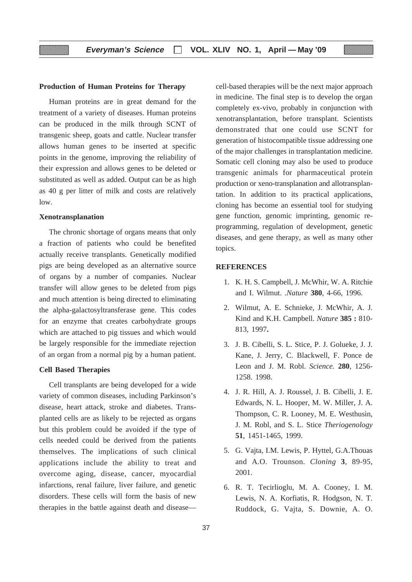#### **Production of Human Proteins for Therapy**

Human proteins are in great demand for the treatment of a variety of diseases. Human proteins can be produced in the milk through SCNT of transgenic sheep, goats and cattle. Nuclear transfer allows human genes to be inserted at specific points in the genome, improving the reliability of their expression and allows genes to be deleted or substituted as well as added. Output can be as high as 40 g per litter of milk and costs are relatively low.

#### **Xenotransplanation**

▒

The chronic shortage of organs means that only a fraction of patients who could be benefited actually receive transplants. Genetically modified pigs are being developed as an alternative source of organs by a number of companies. Nuclear transfer will allow genes to be deleted from pigs and much attention is being directed to eliminating the alpha-galactosyltransferase gene. This codes for an enzyme that creates carbohydrate groups which are attached to pig tissues and which would be largely responsible for the immediate rejection of an organ from a normal pig by a human patient.

#### **Cell Based Therapies**

Cell transplants are being developed for a wide variety of common diseases, including Parkinson's disease, heart attack, stroke and diabetes. Transplanted cells are as likely to be rejected as organs but this problem could be avoided if the type of cells needed could be derived from the patients themselves. The implications of such clinical applications include the ability to treat and overcome aging, disease, cancer, myocardial infarctions, renal failure, liver failure, and genetic disorders. These cells will form the basis of new therapies in the battle against death and diseasecell-based therapies will be the next major approach in medicine. The final step is to develop the organ completely ex-vivo, probably in conjunction with xenotransplantation, before transplant. Scientists demonstrated that one could use SCNT for generation of histocompatible tissue addressing one of the major challenges in transplantation medicine. Somatic cell cloning may also be used to produce transgenic animals for pharmaceutical protein production or xeno-transplanation and allotransplantation. In addition to its practical applications, cloning has become an essential tool for studying gene function, genomic imprinting, genomic reprogramming, regulation of development, genetic diseases, and gene therapy, as well as many other topics.

#### **REFERENCES**

- 1. K. H. S. Campbell, J. McWhir, W. A. Ritchie and I. Wilmut. .*Nature* **380**, 4-66, 1996.
- 2. Wilmut, A. E. Schnieke, J. McWhir, A. J. Kind and K.H. Campbell. *Nature* **385 :** 810- 813, 1997**.**
- 3. J. B. Cibelli, S. L. Stice, P. J. Golueke, J. J. Kane, J. Jerry, C. Blackwell, F. Ponce de Leon and J. M. Robl. *Science.* **280**, 1256- 1258. 1998.
- 4. J. R. Hill, A. J. Roussel, J. B. Cibelli, J. E. Edwards, N. L. Hooper, M. W. Miller, J. A. Thompson, C. R. Looney, M. E. Westhusin, J. M. Robl, and S. L. Stice *Theriogenology* **51**, 1451-1465, 1999.
- 5. G. Vajta, I.M. Lewis, P. Hyttel, G.A.Thouas and A.O. Trounson. *Cloning* **3**, 89-95, 2001.
- 6. R. T. Tecirlioglu, M. A. Cooney, I. M. Lewis, N. A. Korfiatis, R. Hodgson, N. T. Ruddock, G. Vajta, S. Downie, A. O.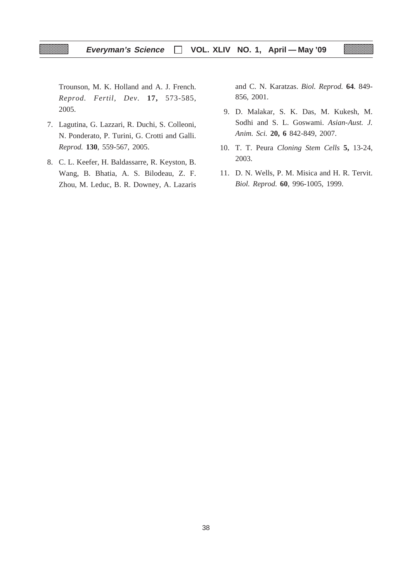Trounson, M. K. Holland and A. J. French. *Reprod. Fertil, Dev.* **17,** 573-585, 2005.

- 7. Lagutina, G. Lazzari, R. Duchi, S. Colleoni, N. Ponderato, P. Turini, G. Crotti and Galli. *Reprod.* **130**, 559-567, 2005.
- 8. C. L. Keefer, H. Baldassarre, R. Keyston, B. Wang, B. Bhatia, A. S. Bilodeau, Z. F. Zhou, M. Leduc, B. R. Downey, A. Lazaris

and C. N. Karatzas. *Biol. Reprod.* **64**. 849- 856, 2001.

- 9. D. Malakar, S. K. Das, M. Kukesh, M. Sodhi and S. L. Goswami. *Asian-Aust. J. Anim. Sci.* **20, 6** 842-849, 2007.
- 10. T. T. Peura *Cloning Stem Cells* **5,** 13-24, 2003.
- 11. D. N. Wells, P. M. Misica and H. R. Tervit. *Biol. Reprod.* **60**, 996-1005, 1999.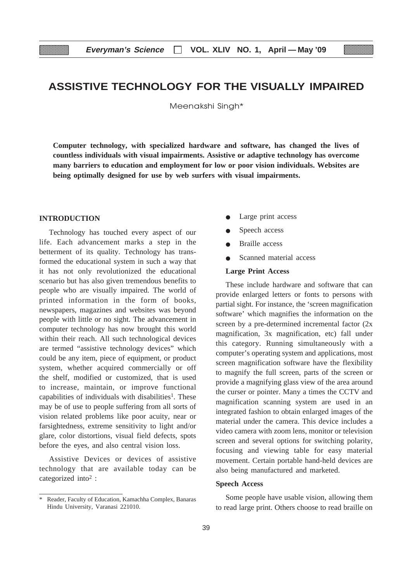## **ASSISTIVE TECHNOLOGY FOR THE VISUALLY IMPAIRED**

Meenakshi Singh\*

**Computer technology, with specialized hardware and software, has changed the lives of countless individuals with visual impairments. Assistive or adaptive technology has overcome many barriers to education and employment for low or poor vision individuals. Websites are being optimally designed for use by web surfers with visual impairments.**

#### **INTRODUCTION**

Technology has touched every aspect of our life. Each advancement marks a step in the betterment of its quality. Technology has transformed the educational system in such a way that it has not only revolutionized the educational scenario but has also given tremendous benefits to people who are visually impaired. The world of printed information in the form of books, newspapers, magazines and websites was beyond people with little or no sight. The advancement in computer technology has now brought this world within their reach. All such technological devices are termed "assistive technology devices" which could be any item, piece of equipment, or product system, whether acquired commercially or off the shelf, modified or customized, that is used to increase, maintain, or improve functional capabilities of individuals with disabilities<sup>1</sup>. These may be of use to people suffering from all sorts of vision related problems like poor acuity, near or farsightedness, extreme sensitivity to light and/or glare, color distortions, visual field defects, spots before the eyes, and also central vision loss.

Assistive Devices or devices of assistive technology that are available today can be categorized into2 :

- Large print access
- Speech access
- **Braille** access
- Scanned material access

#### **Large Print Access**

These include hardware and software that can provide enlarged letters or fonts to persons with partial sight. For instance, the 'screen magnification software' which magnifies the information on the screen by a pre-determined incremental factor (2x magnification, 3x magnification, etc) fall under this category. Running simultaneously with a computer's operating system and applications, most screen magnification software have the flexibility to magnify the full screen, parts of the screen or provide a magnifying glass view of the area around the curser or pointer. Many a times the CCTV and magnification scanning system are used in an integrated fashion to obtain enlarged images of the material under the camera. This device includes a video camera with zoom lens, monitor or television screen and several options for switching polarity, focusing and viewing table for easy material movement. Certain portable hand-held devices are also being manufactured and marketed.

#### **Speech Access**

Some people have usable vision, allowing them to read large print. Others choose to read braille on

<sup>\*</sup> Reader, Faculty of Education, Kamachha Complex, Banaras Hindu University, Varanasi 221010.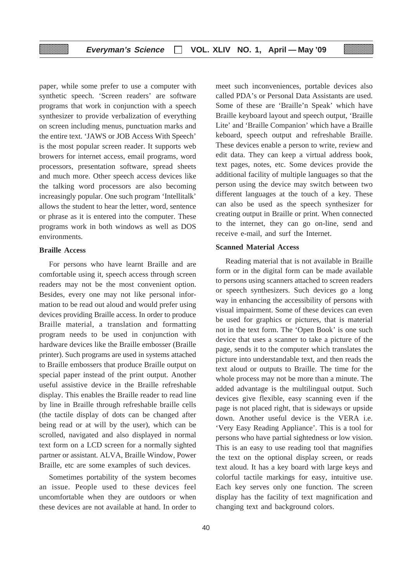paper, while some prefer to use a computer with synthetic speech. 'Screen readers' are software programs that work in conjunction with a speech synthesizer to provide verbalization of everything on screen including menus, punctuation marks and the entire text. 'JAWS or JOB Access With Speech' is the most popular screen reader. It supports web browers for internet access, email programs, word processors, presentation software, spread sheets and much more. Other speech access devices like the talking word processors are also becoming increasingly popular. One such program 'Intellitalk' allows the student to hear the letter, word, sentence or phrase as it is entered into the computer. These programs work in both windows as well as DOS environments.

#### **Braille Access**

For persons who have learnt Braille and are comfortable using it, speech access through screen readers may not be the most convenient option. Besides, every one may not like personal information to be read out aloud and would prefer using devices providing Braille access. In order to produce Braille material, a translation and formatting program needs to be used in conjunction with hardware devices like the Braille embosser (Braille printer). Such programs are used in systems attached to Braille embossers that produce Braille output on special paper instead of the print output. Another useful assistive device in the Braille refreshable display. This enables the Braille reader to read line by line in Braille through refreshable braille cells (the tactile display of dots can be changed after being read or at will by the user), which can be scrolled, navigated and also displayed in normal text form on a LCD screen for a normally sighted partner or assistant. ALVA, Braille Window, Power Braille, etc are some examples of such devices.

Sometimes portability of the system becomes an issue. People used to these devices feel uncomfortable when they are outdoors or when these devices are not available at hand. In order to meet such inconveniences, portable devices also called PDA's or Personal Data Assistants are used. Some of these are 'Braille'n Speak' which have Braille keyboard layout and speech output, 'Braille Lite' and 'Braille Companion' which have a Braille keboard, speech output and refreshable Braille. These devices enable a person to write, review and edit data. They can keep a virtual address book, text pages, notes, etc. Some devices provide the additional facility of multiple languages so that the person using the device may switch between two different languages at the touch of a key. These can also be used as the speech synthesizer for creating output in Braille or print. When connected to the internet, they can go on-line, send and receive e-mail, and surf the Internet.

#### **Scanned Material Access**

Reading material that is not available in Braille form or in the digital form can be made available to persons using scanners attached to screen readers or speech synthesizers. Such devices go a long way in enhancing the accessibility of persons with visual impairment. Some of these devices can even be used for graphics or pictures, that is material not in the text form. The 'Open Book' is one such device that uses a scanner to take a picture of the page, sends it to the computer which translates the picture into understandable text, and then reads the text aloud or outputs to Braille. The time for the whole process may not be more than a minute. The added advantage is the multilingual output. Such devices give flexible, easy scanning even if the page is not placed right, that is sideways or upside down. Another useful device is the VERA i.e. 'Very Easy Reading Appliance'. This is a tool for persons who have partial sightedness or low vision. This is an easy to use reading tool that magnifies the text on the optional display screen, or reads text aloud. It has a key board with large keys and colorful tactile markings for easy, intuitive use. Each key serves only one function. The screen display has the facility of text magnification and changing text and background colors.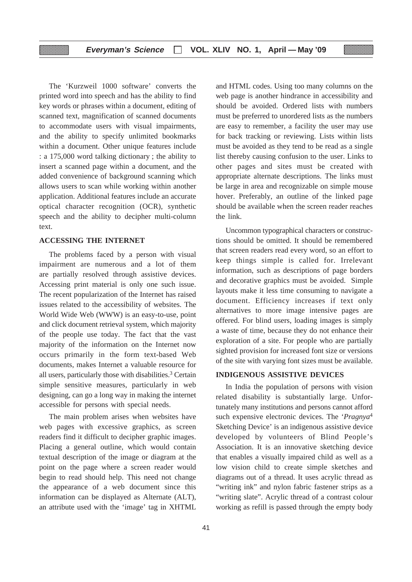The 'Kurzweil 1000 software' converts the printed word into speech and has the ability to find key words or phrases within a document, editing of scanned text, magnification of scanned documents to accommodate users with visual impairments, and the ability to specify unlimited bookmarks within a document. Other unique features include : a 175,000 word talking dictionary ; the ability to insert a scanned page within a document, and the added convenience of background scanning which allows users to scan while working within another application. Additional features include an accurate optical character recognition (OCR), synthetic speech and the ability to decipher multi-column text.

#### **ACCESSING THE INTERNET**

▒

The problems faced by a person with visual impairment are numerous and a lot of them are partially resolved through assistive devices. Accessing print material is only one such issue. The recent popularization of the Internet has raised issues related to the accessibility of websites. The World Wide Web (WWW) is an easy-to-use, point and click document retrieval system, which majority of the people use today. The fact that the vast majority of the information on the Internet now occurs primarily in the form text-based Web documents, makes Internet a valuable resource for all users, particularly those with disabilities.3 Certain simple sensitive measures, particularly in web designing, can go a long way in making the internet accessible for persons with special needs.

The main problem arises when websites have web pages with excessive graphics, as screen readers find it difficult to decipher graphic images. Placing a general outline, which would contain textual description of the image or diagram at the point on the page where a screen reader would begin to read should help. This need not change the appearance of a web document since this information can be displayed as Alternate (ALT), an attribute used with the 'image' tag in XHTML and HTML codes. Using too many columns on the web page is another hindrance in accessibility and should be avoided. Ordered lists with numbers must be preferred to unordered lists as the numbers are easy to remember, a facility the user may use for back tracking or reviewing. Lists within lists must be avoided as they tend to be read as a single list thereby causing confusion to the user. Links to other pages and sites must be created with appropriate alternate descriptions. The links must be large in area and recognizable on simple mouse hover. Preferably, an outline of the linked page should be available when the screen reader reaches the link.

Uncommon typographical characters or constructions should be omitted. It should be remembered that screen readers read every word, so an effort to keep things simple is called for. Irrelevant information, such as descriptions of page borders and decorative graphics must be avoided. Simple layouts make it less time consuming to navigate a document. Efficiency increases if text only alternatives to more image intensive pages are offered. For blind users, loading images is simply a waste of time, because they do not enhance their exploration of a site. For people who are partially sighted provision for increased font size or versions of the site with varying font sizes must be available.

#### **INDIGENOUS ASSISTIVE DEVICES**

In India the population of persons with vision related disability is substantially large. Unfortunately many institutions and persons cannot afford such expensive electronic devices. The '*Pragnya*<sup>4</sup> Sketching Device' is an indigenous assistive device developed by volunteers of Blind People's Association. It is an innovative sketching device that enables a visually impaired child as well as a low vision child to create simple sketches and diagrams out of a thread. It uses acrylic thread as "writing ink" and nylon fabric fastener strips as a "writing slate". Acrylic thread of a contrast colour working as refill is passed through the empty body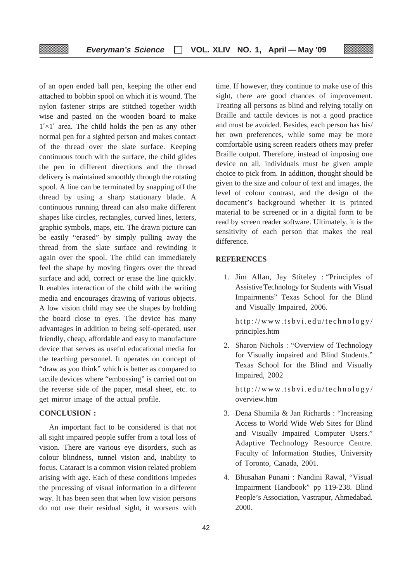of an open ended ball pen, keeping the other end attached to bobbin spool on which it is wound. The nylon fastener strips are stitched together width wise and pasted on the wooden board to make  $1' \times 1'$  area. The child holds the pen as any other normal pen for a sighted person and makes contact of the thread over the slate surface. Keeping continuous touch with the surface, the child glides the pen in different directions and the thread delivery is maintained smoothly through the rotating spool. A line can be terminated by snapping off the thread by using a sharp stationary blade. A continuous running thread can also make different shapes like circles, rectangles, curved lines, letters, graphic symbols, maps, etc. The drawn picture can be easily "erased" by simply pulling away the thread from the slate surface and rewinding it again over the spool. The child can immediately feel the shape by moving fingers over the thread surface and add, correct or erase the line quickly. It enables interaction of the child with the writing media and encourages drawing of various objects. A low vision child may see the shapes by holding the board close to eyes. The device has many advantages in addition to being self-operated, user friendly, cheap, affordable and easy to manufacture device that serves as useful educational media for the teaching personnel. It operates on concept of "draw as you think" which is better as compared to tactile devices where "embossing" is carried out on the reverse side of the paper, metal sheet, etc. to get mirror image of the actual profile.

#### **CONCLUSION :**

An important fact to be considered is that not all sight impaired people suffer from a total loss of vision. There are various eye disorders, such as colour blindness, tunnel vision and, inability to focus. Cataract is a common vision related problem arising with age. Each of these conditions impedes the processing of visual information in a different way. It has been seen that when low vision persons do not use their residual sight, it worsens with

time. If however, they continue to make use of this sight, there are good chances of improvement. Treating all persons as blind and relying totally on Braille and tactile devices is not a good practice and must be avoided. Besides, each person has his/ her own preferences, while some may be more comfortable using screen readers others may prefer Braille output. Therefore, instead of imposing one device on all, individuals must be given ample choice to pick from. In addition, thought should be given to the size and colour of text and images, the level of colour contrast, and the design of the document's background whether it is printed material to be screened or in a digital form to be read by screen reader software. Ultimately, it is the sensitivity of each person that makes the real difference.

#### **REFERENCES**

1. Jim Allan, Jay Stiteley : "Principles of AssistiveTechnology for Students with Visual Impairments" Texas School for the Blind and Visually Impaired, 2006.

http://www.tsbvi.edu/technology/ principles.htm

2. Sharon Nichols : "Overview of Technology for Visually impaired and Blind Students." Texas School for the Blind and Visually Impaired, 2002

http://www.tsbvi.edu/technology/ overview.htm

- 3. Dena Shumila & Jan Richards : "Increasing Access to World Wide Web Sites for Blind and Visually Impaired Computer Users." Adaptive Technology Resource Centre. Faculty of Information Studies, University of Toronto, Canada, 2001.
- 4. Bhusahan Punani : Nandini Rawal, "Visual Impairment Handbook" pp 119-238. Blind People's Association, Vastrapur, Ahmedabad. 2000.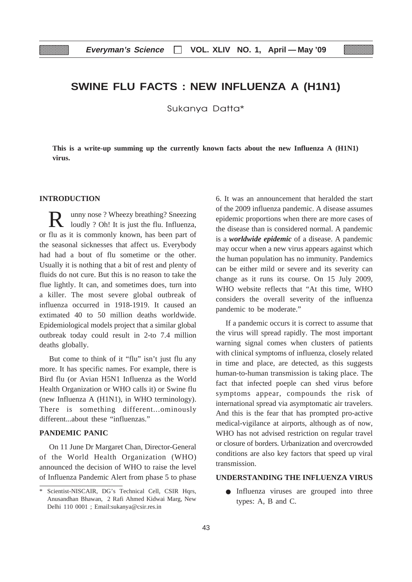## **SWINE FLU FACTS : NEW INFLUENZA A (H1N1)**

Sukanya Datta\*

**This is a write-up summing up the currently known facts about the new Influenza A (H1N1) virus.**

#### **INTRODUCTION**

R unny nose ? Wheezy breathing? Sneezing loudly ? Oh! It is just the flu. Influenza, or flu as it is commonly known, has been part of the seasonal sicknesses that affect us. Everybody had had a bout of flu sometime or the other. Usually it is nothing that a bit of rest and plenty of fluids do not cure. But this is no reason to take the flue lightly. It can, and sometimes does, turn into a killer. The most severe global outbreak of influenza occurred in 1918-1919. It caused an extimated 40 to 50 million deaths worldwide. Epidemiological models project that a similar global outbreak today could result in 2-to 7.4 million deaths globally.

But come to think of it "flu" isn't just flu any more. It has specific names. For example, there is Bird flu (or Avian H5N1 Influenza as the World Health Organization or WHO calls it) or Swine flu (new Influenza A (H1N1), in WHO terminology). There is something different...ominously different...about these "influenzas."

#### **PANDEMIC PANIC**

On 11 June Dr Margaret Chan, Director-General of the World Health Organization (WHO) announced the decision of WHO to raise the level of Influenza Pandemic Alert from phase 5 to phase

6. It was an announcement that heralded the start of the 2009 influenza pandemic. A disease assumes epidemic proportions when there are more cases of the disease than is considered normal. A pandemic is a *worldwide epidemic* of a disease. A pandemic may occur when a new virus appears against which the human population has no immunity. Pandemics can be either mild or severe and its severity can change as it runs its course. On 15 July 2009, WHO website reflects that "At this time, WHO considers the overall severity of the influenza pandemic to be moderate."

If a pandemic occurs it is correct to assume that the virus will spread rapidly. The most important warning signal comes when clusters of patients with clinical symptoms of influenza, closely related in time and place, are detected, as this suggests human-to-human transmission is taking place. The fact that infected poeple can shed virus before symptoms appear, compounds the risk of international spread via asymptomatic air travelers. And this is the fear that has prompted pro-active medical-vigilance at airports, although as of now, WHO has not advised restriction on regular travel or closure of borders. Urbanization and overcrowded conditions are also key factors that speed up viral transmission.

#### **UNDERSTANDING THE INFLUENZA VIRUS**

● Influenza viruses are grouped into three types: A, B and C.

<sup>\*</sup> Scientist-NISCAIR, DG's Technical Cell, CSIR Hqrs, Anusandhan Bhawan, 2 Rafi Ahmed Kidwai Marg, New Delhi 110 0001 ; Email:sukanya@csir.res.in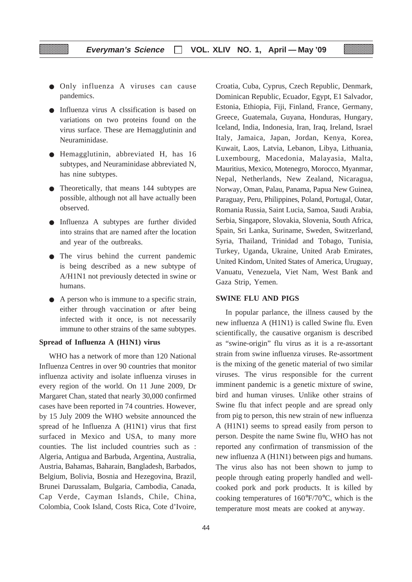- Only influenza A viruses can cause pandemics.
- Influenza virus A clssification is based on variations on two proteins found on the virus surface. These are Hemagglutinin and Neuraminidase.
- Hemagglutinin, abbreviated H, has 16 subtypes, and Neuraminidase abbreviated N, has nine subtypes.
- Theoretically, that means 144 subtypes are possible, although not all have actually been observed.
- Influenza A subtypes are further divided into strains that are named after the location and year of the outbreaks.
- The virus behind the current pandemic is being described as a new subtype of A/H1N1 not previously detected in swine or humans.
- A person who is immune to a specific strain, either through vaccination or after being infected with it once, is not necessarily immune to other strains of the same subtypes.

#### **Spread of Influenza A (H1N1) virus**

WHO has a network of more than 120 National Influenza Centres in over 90 countries that monitor influenza activity and isolate influenza viruses in every region of the world. On 11 June 2009, Dr Margaret Chan, stated that nearly 30,000 confirmed cases have been reported in 74 countries. However, by 15 July 2009 the WHO website announced the spread of he Influenza A (H1N1) virus that first surfaced in Mexico and USA, to many more counties. The list included countries such as : Algeria, Antigua and Barbuda, Argentina, Australia, Austria, Bahamas, Baharain, Bangladesh, Barbados, Belgium, Bolivia, Bosnia and Hezegovina, Brazil, Brunei Darussalam, Bulgaria, Cambodia, Canada, Cap Verde, Cayman Islands, Chile, China, Colombia, Cook Island, Costs Rica, Cote d'Ivoire, Croatia, Cuba, Cyprus, Czech Republic, Denmark, Dominican Republic, Ecuador, Egypt, E1 Salvador, Estonia, Ethiopia, Fiji, Finland, France, Germany, Greece, Guatemala, Guyana, Honduras, Hungary, Iceland, India, Indonesia, Iran, Iraq, Ireland, Israel Italy, Jamaica, Japan, Jordan, Kenya, Korea, Kuwait, Laos, Latvia, Lebanon, Libya, Lithuania, Luxembourg, Macedonia, Malayasia, Malta, Mauritius, Mexico, Motenegro, Morocco, Myanmar, Nepal, Netherlands, New Zealand, Nicaragua, Norway, Oman, Palau, Panama, Papua New Guinea, Paraguay, Peru, Philippines, Poland, Portugal, Oatar, Romania Russia, Saint Lucia, Samoa, Saudi Arabia, Serbia, Singapore, Slovakia, Slovenia, South Africa, Spain, Sri Lanka, Suriname, Sweden, Switzerland, Syria, Thailand, Trinidad and Tobago, Tunisia, Turkey, Uganda, Ukraine, United Arab Emirates, United Kindom, United States of America, Uruguay, Vanuatu, Venezuela, Viet Nam, West Bank and Gaza Strip, Yemen.

#### **SWINE FLU AND PIGS**

In popular parlance, the illness caused by the new influenza A (H1N1) is called Swine flu. Even scientifically, the causative organism is described as "swine-origin" flu virus as it is a re-assortant strain from swine influenza viruses. Re-assortment is the mixing of the genetic material of two similar viruses. The virus responsible for the current imminent pandemic is a genetic mixture of swine, bird and human viruses. Unlike other strains of Swine flu that infect people and are spread only from pig to person, this new strain of new influenza A (H1N1) seems to spread easily from person to person. Despite the name Swine flu, WHO has not reported any confirmation of transmission of the new influenza A (H1N1) between pigs and humans. The virus also has not been shown to jump to people through eating properly handled and wellcooked pork and pork products. It is killed by cooking temperatures of 160°F/70°C, which is the temperature most meats are cooked at anyway.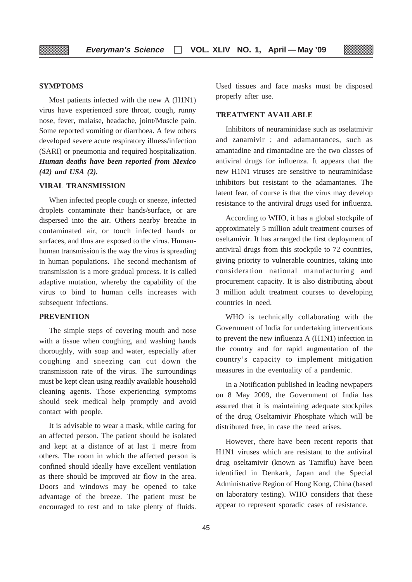#### **SYMPTOMS**

Most patients infected with the new A (H1N1) virus have experienced sore throat, cough, runny nose, fever, malaise, headache, joint/Muscle pain. Some reported vomiting or diarrhoea. A few others developed severe acute respiratory illness/infection (SARI) or pneumonia and required hospitalization. *Human deaths have been reported from Mexico (42) and USA (2).*

#### **VIRAL TRANSMISSION**

When infected people cough or sneeze, infected droplets contaminate their hands/surface, or are dispersed into the air. Others nearby breathe in contaminated air, or touch infected hands or surfaces, and thus are exposed to the virus. Humanhuman transmission is the way the virus is spreading in human populations. The second mechanism of transmission is a more gradual process. It is called adaptive mutation, whereby the capability of the virus to bind to human cells increases with subsequent infections.

#### **PREVENTION**

The simple steps of covering mouth and nose with a tissue when coughing, and washing hands thoroughly, with soap and water, especially after coughing and sneezing can cut down the transmission rate of the virus. The surroundings must be kept clean using readily available household cleaning agents. Those experiencing symptoms should seek medical help promptly and avoid contact with people.

It is advisable to wear a mask, while caring for an affected person. The patient should be isolated and kept at a distance of at last 1 metre from others. The room in which the affected person is confined should ideally have excellent ventilation as there should be improved air flow in the area. Doors and windows may be opened to take advantage of the breeze. The patient must be encouraged to rest and to take plenty of fluids.

Used tissues and face masks must be disposed properly after use.

#### **TREATMENT AVAILABLE**

Inhibitors of neuraminidase such as oselatmivir and zanamivir ; and adamantances, such as amantadine and rimantadine are the two classes of antiviral drugs for influenza. It appears that the new H1N1 viruses are sensitive to neuraminidase inhibitors but resistant to the adamantanes. The latent fear, of course is that the virus may develop resistance to the antiviral drugs used for influenza.

According to WHO, it has a global stockpile of approximately 5 million adult treatment courses of oseltamivir. It has arranged the first deployment of antiviral drugs from this stockpile to 72 countries, giving priority to vulnerable countries, taking into consideration national manufacturing and procurement capacity. It is also distributing about 3 million adult treatment courses to developing countries in need.

WHO is technically collaborating with the Government of India for undertaking interventions to prevent the new influenza A (H1N1) infection in the country and for rapid augmentation of the country's capacity to implement mitigation measures in the eventuality of a pandemic.

In a Notification published in leading newpapers on 8 May 2009, the Government of India has assured that it is maintaining adequate stockpiles of the drug Oseltamivir Phosphate which will be distributed free, in case the need arises.

However, there have been recent reports that H1N1 viruses which are resistant to the antiviral drug oseltamivir (known as Tamiflu) have been identified in Denkark, Japan and the Special Administrative Region of Hong Kong, China (based on laboratory testing). WHO considers that these appear to represent sporadic cases of resistance.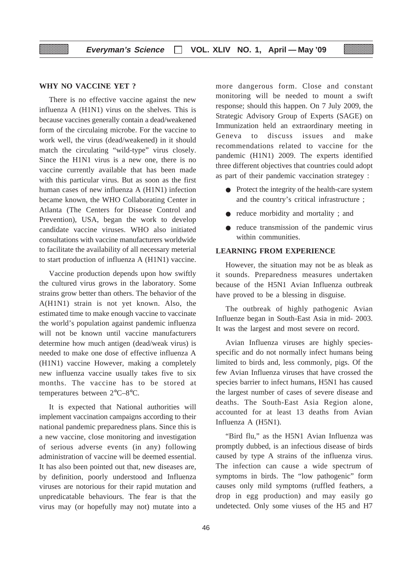#### **WHY NO VACCINE YET ?**

There is no effective vaccine against the new influenza A (H1N1) virus on the shelves. This is because vaccines generally contain a dead/weakened form of the circulaing microbe. For the vaccine to work well, the virus (dead/weakened) in it should match the circulating "wild-type" virus closely. Since the H1N1 virus is a new one, there is no vaccine currently available that has been made with this particular virus. But as soon as the first human cases of new influenza A (H1N1) infection became known, the WHO Collaborating Center in Atlanta (The Centers for Disease Control and Prevention), USA, began the work to develop candidate vaccine viruses. WHO also initiated consultations with vaccine manufacturers worldwide to facilitate the availability of all necessary meterial to start production of influenza A (H1N1) vaccine.

Vaccine production depends upon how swiftly the cultured virus grows in the laboratory. Some strains grow better than others. The behavior of the A(H1N1) strain is not yet known. Also, the estimated time to make enough vaccine to vaccinate the world's population against pandemic influenza will not be known until vaccine manufacturers determine how much antigen (dead/weak virus) is needed to make one dose of effective influenza A (H1N1) vaccine However, making a completely new influenza vaccine usually takes five to six months. The vaccine has to be stored at temperatures between 2°C–8°C.

It is expected that National authorities will implement vaccination campaigns according to their national pandemic preparedness plans. Since this is a new vaccine, close monitoring and investigation of serious adverse events (in any) following administration of vaccine will be deemed essential. It has also been pointed out that, new diseases are, by definition, poorly understood and Influenza viruses are notorious for their rapid mutation and unpredicatable behaviours. The fear is that the virus may (or hopefully may not) mutate into a more dangerous form. Close and constant monitoring will be needed to mount a swift response; should this happen. On 7 July 2009, the Strategic Advisory Group of Experts (SAGE) on Immunization held an extraordinary meeting in Geneva to discuss issues and make recommendations related to vaccine for the pandemic (H1N1) 2009. The experts identified three different objectives that countries could adopt as part of their pandemic vaccination strategey :

- Protect the integrity of the health-care system and the country's critical infrastructure ;
- reduce morbidity and mortality ; and
- reduce transmission of the pandemic virus within communities.

#### **LEARNING FROM EXPERIENCE**

However, the situation may not be as bleak as it sounds. Preparedness measures undertaken because of the H5N1 Avian Influenza outbreak have proved to be a blessing in disguise.

The outbreak of highly pathogenic Avian Influenze began in South-East Asia in mid- 2003. It was the largest and most severe on record.

Avian Influenza viruses are highly speciesspecific and do not normally infect humans being limited to birds and, less commonly, pigs. Of the few Avian Influenza viruses that have crossed the species barrier to infect humans, H5N1 has caused the largest number of cases of severe disease and deaths. The South-East Asia Region alone, accounted for at least 13 deaths from Avian Influenza A (H5N1).

"Bird flu," as the H5N1 Avian Influenza was promptly dubbed, is an infectious disease of birds caused by type A strains of the influenza virus. The infection can cause a wide spectrum of symptoms in birds. The "low pathogenic" form causes only mild symptoms (ruffled feathers, a drop in egg production) and may easily go undetected. Only some viuses of the H5 and H7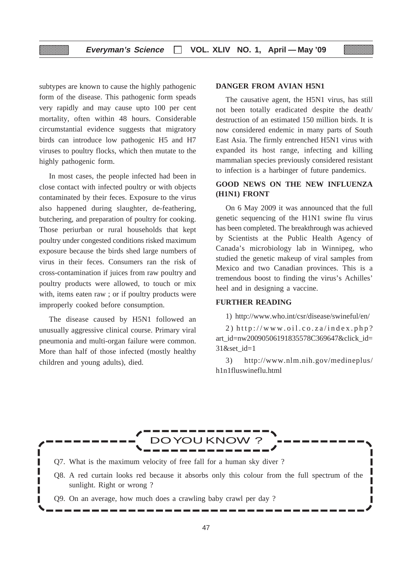subtypes are known to cause the highly pathogenic form of the disease. This pathogenic form speads very rapidly and may cause upto 100 per cent mortality, often within 48 hours. Considerable circumstantial evidence suggests that migratory birds can introduce low pathogenic H5 and H7 viruses to poultry flocks, which then mutate to the highly pathogenic form.

In most cases, the people infected had been in close contact with infected poultry or with objects contaminated by their feces. Exposure to the virus also happened during slaughter, de-feathering, butchering, and preparation of poultry for cooking. Those periurban or rural households that kept poultry under congested conditions risked maximum exposure because the birds shed large numbers of virus in their feces. Consumers ran the risk of cross-contamination if juices from raw poultry and poultry products were allowed, to touch or mix with, items eaten raw ; or if poultry products were improperly cooked before consumption.

The disease caused by H5N1 followed an unusually aggressive clinical course. Primary viral pneumonia and multi-organ failure were common. More than half of those infected (mostly healthy children and young adults), died.

#### **DANGER FROM AVIAN H5N1**

The causative agent, the H5N1 virus, has still not been totally eradicated despite the death/ destruction of an estimated 150 million birds. It is now considered endemic in many parts of South East Asia. The firmly entrenched H5N1 virus with expanded its host range, infecting and killing mammalian species previously considered resistant to infection is a harbinger of future pandemics.

#### **GOOD NEWS ON THE NEW INFLUENZA (H1N1) FRONT**

On 6 May 2009 it was announced that the full genetic sequencing of the H1N1 swine flu virus has been completed. The breakthrough was achieved by Scientists at the Public Health Agency of Canada's microbiology lab in Winnipeg, who studied the genetic makeup of viral samples from Mexico and two Canadian provinces. This is a tremendous boost to finding the virus's Achilles' heel and in designing a vaccine.

#### **FURTHER READING**

1) http://www.who.int/csr/disease/swineful/en/

2) http://www.oil.co.za/index.php? art\_id=nw20090506191835578C369647&click\_id= 31&set\_id=1

3) http://www.nlm.nih.gov/medineplus/ h1n1fluswineflu.html

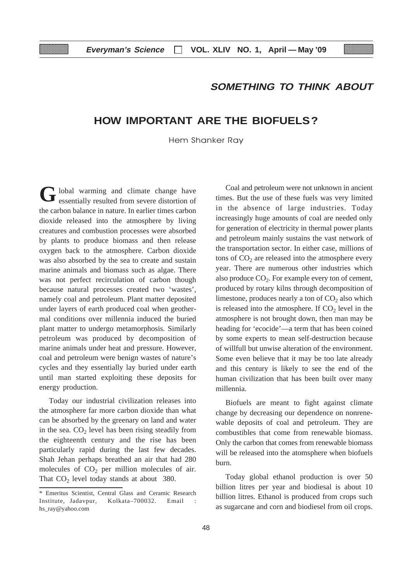## **SOMETHING TO THINK ABOUT**

## **HOW IMPORTANT ARE THE BIOFUELS?**

Hem Shanker Ray

lobal warming and climate change have Gessentially resulted from severe distortion of these sentially resulted from severe distortion of these fuels was very limited the carbon balance in nature. In earlier times carbon dioxide released into the atmosphere by living creatures and combustion processes were absorbed by plants to produce biomass and then release oxygen back to the atmosphere. Carbon dioxide was also absorbed by the sea to create and sustain marine animals and biomass such as algae. There was not perfect recirculation of carbon though because natural processes created two 'wastes', namely coal and petroleum. Plant matter deposited under layers of earth produced coal when geothermal conditions over millennia induced the buried plant matter to undergo metamorphosis. Similarly petroleum was produced by decomposition of marine animals under heat and pressure. However, coal and petroleum were benign wastes of nature's cycles and they essentially lay buried under earth until man started exploiting these deposits for energy production.

Today our industrial civilization releases into the atmosphere far more carbon dioxide than what can be absorbed by the greenary on land and water in the sea.  $CO<sub>2</sub>$  level has been rising steadily from the eighteenth century and the rise has been particularly rapid during the last few decades. Shah Jehan perhaps breathed an air that had 280 molecules of  $CO<sub>2</sub>$  per million molecules of air. That  $CO<sub>2</sub>$  level today stands at about 380.

times. But the use of these fuels was very limited in the absence of large industries. Today increasingly huge amounts of coal are needed only for generation of electricity in thermal power plants and petroleum mainly sustains the vast network of the transportation sector. In either case, millions of tons of  $CO<sub>2</sub>$  are released into the atmosphere every year. There are numerous other industries which also produce  $CO<sub>2</sub>$ . For example every ton of cement, produced by rotary kilns through decomposition of limestone, produces nearly a ton of  $CO<sub>2</sub>$  also which is released into the atmosphere. If  $CO<sub>2</sub>$  level in the atmosphere is not brought down, then man may be heading for 'ecocide'—a term that has been coined by some experts to mean self-destruction because of willfull but unwise alteration of the environment. Some even believe that it may be too late already and this century is likely to see the end of the human civilization that has been built over many millennia.

Biofuels are meant to fight against climate change by decreasing our dependence on nonrenewable deposits of coal and petroleum. They are combustibles that come from renewable biomass. Only the carbon that comes from renewable biomass will be released into the atomsphere when biofuels burn.

Today global ethanol production is over 50 billion litres per year and biodiesal is about 10 billion litres. Ethanol is produced from crops such as sugarcane and corn and biodiesel from oil crops.

<sup>\*</sup> Emeritus Scientist, Central Glass and Ceramic Research Institute, Jadavpur, Kolkata–700032. Email : hs\_ray@yahoo.com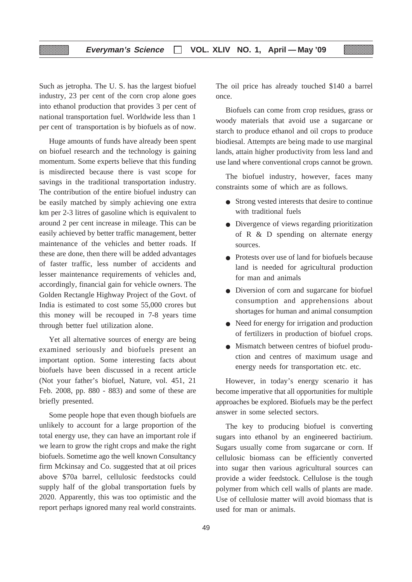Such as jetropha. The U. S. has the largest biofuel industry, 23 per cent of the corn crop alone goes into ethanol production that provides 3 per cent of national transportation fuel. Worldwide less than 1 per cent of transportation is by biofuels as of now.

▒

Huge amounts of funds have already been spent on biofuel research and the technology is gaining momentum. Some experts believe that this funding is misdirected because there is vast scope for savings in the traditional transportation industry. The contribution of the entire biofuel industry can be easily matched by simply achieving one extra km per 2-3 litres of gasoline which is equivalent to around 2 per cent increase in mileage. This can be easily achieved by better traffic management, better maintenance of the vehicles and better roads. If these are done, then there will be added advantages of faster traffic, less number of accidents and lesser maintenance requirements of vehicles and, accordingly, financial gain for vehicle owners. The Golden Rectangle Highway Project of the Govt. of India is estimated to cost some 55,000 crores but this money will be recouped in 7-8 years time through better fuel utilization alone.

Yet all alternative sources of energy are being examined seriously and biofuels present an important option. Some interesting facts about biofuels have been discussed in a recent article (Not your father's biofuel, Nature, vol. 451, 21 Feb. 2008, pp. 880 - 883) and some of these are briefly presented.

Some people hope that even though biofuels are unlikely to account for a large proportion of the total energy use, they can have an important role if we learn to grow the right crops and make the right biofuels. Sometime ago the well known Consultancy firm Mckinsay and Co. suggested that at oil prices above \$70a barrel, cellulosic feedstocks could supply half of the global transportation fuels by 2020. Apparently, this was too optimistic and the report perhaps ignored many real world constraints.

The oil price has already touched \$140 a barrel once.

Biofuels can come from crop residues, grass or woody materials that avoid use a sugarcane or starch to produce ethanol and oil crops to produce biodiesal. Attempts are being made to use marginal lands, attain higher productivity from less land and use land where conventional crops cannot be grown.

The biofuel industry, however, faces many constraints some of which are as follows.

- Strong vested interests that desire to continue with traditional fuels
- Divergence of views regarding prioritization of R & D spending on alternate energy sources.
- Protests over use of land for biofuels because land is needed for agricultural production for man and animals
- Diversion of corn and sugarcane for biofuel consumption and apprehensions about shortages for human and animal consumption
- Need for energy for irrigation and production of fertilizers in production of biofuel crops.
- Mismatch between centres of biofuel production and centres of maximum usage and energy needs for transportation etc. etc.

However, in today's energy scenario it has become imperative that all opportunities for multiple approaches be explored. Biofuels may be the perfect answer in some selected sectors.

The key to producing biofuel is converting sugars into ethanol by an engineered bactirium. Sugars usually come from sugarcane or corn. If cellulosic biomass can be efficiently converted into sugar then various agricultural sources can provide a wider feedstock. Cellulose is the tough polymer from which cell walls of plants are made. Use of cellulosie matter will avoid biomass that is used for man or animals.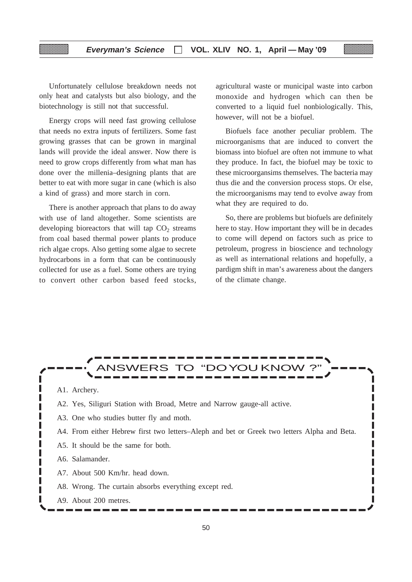#### **Everyman's Science VOL. XLIV NO. 1, April — May '09**

Unfortunately cellulose breakdown needs not only heat and catalysts but also biology, and the biotechnology is still not that successful.

Energy crops will need fast growing cellulose that needs no extra inputs of fertilizers. Some fast growing grasses that can be grown in marginal lands will provide the ideal answer. Now there is need to grow crops differently from what man has done over the millenia–designing plants that are better to eat with more sugar in cane (which is also a kind of grass) and more starch in corn.

There is another approach that plans to do away with use of land altogether. Some scientists are developing bioreactors that will tap  $CO<sub>2</sub>$  streams from coal based thermal power plants to produce rich algae crops. Also getting some algae to secrete hydrocarbons in a form that can be continuously collected for use as a fuel. Some others are trying to convert other carbon based feed stocks, agricultural waste or municipal waste into carbon monoxide and hydrogen which can then be converted to a liquid fuel nonbiologically. This, however, will not be a biofuel.

Biofuels face another peculiar problem. The microorganisms that are induced to convert the biomass into biofuel are often not immune to what they produce. In fact, the biofuel may be toxic to these microorgansims themselves. The bacteria may thus die and the conversion process stops. Or else, the microorganisms may tend to evolve away from what they are required to do.

So, there are problems but biofuels are definitely here to stay. How important they will be in decades to come will depend on factors such as price to petroleum, progress in bioscience and technology as well as international relations and hopefully, a pardigm shift in man's awareness about the dangers of the climate change.

#### ANSWERS TO "DOYOU KNOW A1. Archery. A2. Yes, Siliguri Station with Broad, Metre and Narrow gauge-all active. ı A3. One who studies butter fly and moth. A4. From either Hebrew first two letters–Aleph and bet or Greek two letters Alpha and Beta. L A5. It should be the same for both. I A6. Salamander. П П L A7. About 500 Km/hr. head down. L A8. Wrong. The curtain absorbs everything except red. I ı П A9. About 200 metres.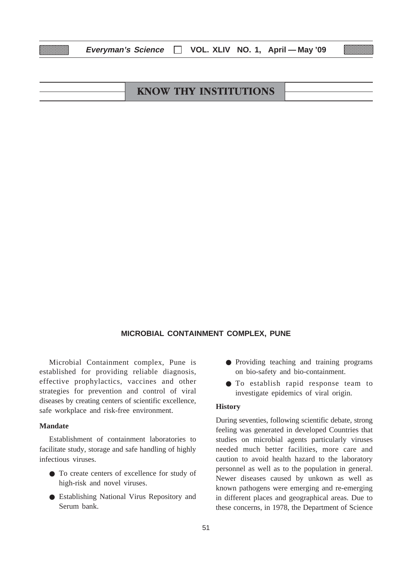| <b>KNOW THY INSTITUTIONS</b> |  |
|------------------------------|--|
|                              |  |

**Everyman's Science VOL. XLIV NO. 1, April — May '09**

#### **MICROBIAL CONTAINMENT COMPLEX, PUNE**

Microbial Containment complex, Pune is established for providing reliable diagnosis, effective prophylactics, vaccines and other strategies for prevention and control of viral diseases by creating centers of scientific excellence, safe workplace and risk-free environment.

#### **Mandate**

Establishment of containment laboratories to facilitate study, storage and safe handling of highly infectious viruses.

- To create centers of excellence for study of high-risk and novel viruses.
- Establishing National Virus Repository and Serum bank.
- Providing teaching and training programs on bio-safety and bio-containment.
- To establish rapid response team to investigate epidemics of viral origin.

#### **History**

During seventies, following scientific debate, strong feeling was generated in developed Countries that studies on microbial agents particularly viruses needed much better facilities, more care and caution to avoid health hazard to the laboratory personnel as well as to the population in general. Newer diseases caused by unkown as well as known pathogens were emerging and re-emerging in different places and geographical areas. Due to these concerns, in 1978, the Department of Science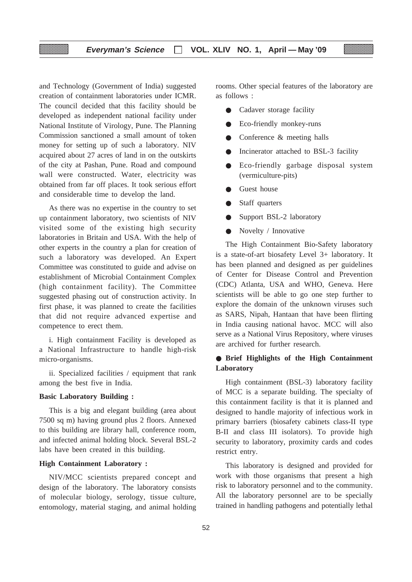and Technology (Government of India) suggested creation of containment laboratories under ICMR. The council decided that this facility should be developed as independent national facility under National Institute of Virology, Pune. The Planning Commission sanctioned a small amount of token money for setting up of such a laboratory. NIV acquired about 27 acres of land in on the outskirts of the city at Pashan, Pune. Road and compound wall were constructed. Water, electricity was obtained from far off places. It took serious effort and considerable time to develop the land.

As there was no expertise in the country to set up containment laboratory, two scientists of NIV visited some of the existing high security laboratories in Britain and USA. With the help of other experts in the country a plan for creation of such a laboratory was developed. An Expert Committee was constituted to guide and advise on establishment of Microbial Containment Complex (high containment facility). The Committee suggested phasing out of construction activity. In first phase, it was planned to create the facilities that did not require advanced expertise and competence to erect them.

i. High containment Facility is developed as a National Infrastructure to handle high-risk micro-organisms.

ii. Specialized facilities / equipment that rank among the best five in India.

#### **Basic Laboratory Building :**

This is a big and elegant building (area about 7500 sq m) having ground plus 2 floors. Annexed to this building are library hall, conference room, and infected animal holding block. Several BSL-2 labs have been created in this building.

#### **High Containment Laboratory :**

NIV/MCC scientists prepared concept and design of the laboratory. The laboratory consists of molecular biology, serology, tissue culture, entomology, material staging, and animal holding

rooms. Other special features of the laboratory are as follows :

- Cadaver storage facility
- Eco-friendly monkey-runs
- Conference  $&$  meeting halls
- Incinerator attached to BSL-3 facility
- Eco-friendly garbage disposal system (vermiculture-pits)
- Guest house
- Staff quarters
- Support BSL-2 laboratory
- Novelty / Innovative

The High Containment Bio-Safety laboratory is a state-of-art biosafety Level 3+ laboratory. It has been planned and designed as per guidelines of Center for Disease Control and Prevention (CDC) Atlanta, USA and WHO, Geneva. Here scientists will be able to go one step further to explore the domain of the unknown viruses such as SARS, Nipah, Hantaan that have been flirting in India causing national havoc. MCC will also serve as a National Virus Repository, where viruses are archived for further research.

#### ● **Brief Highlights of the High Containment Laboratory**

High containment (BSL-3) laboratory facility of MCC is a separate building. The specialty of this containment facility is that it is planned and designed to handle majority of infectious work in primary barriers (biosafety cabinets class-II type B-II and class III isolators). To provide high security to laboratory, proximity cards and codes restrict entry.

This laboratory is designed and provided for work with those organisms that present a high risk to laboratory personnel and to the community. All the laboratory personnel are to be specially trained in handling pathogens and potentially lethal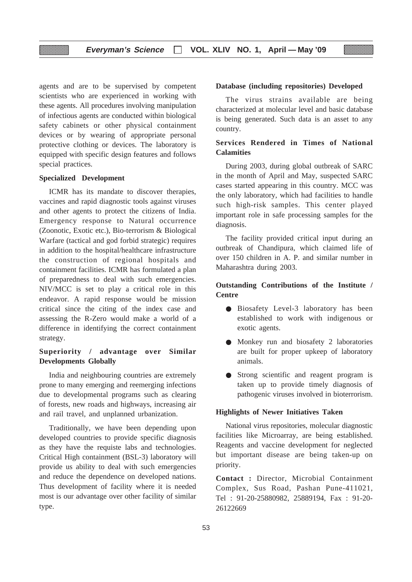agents and are to be supervised by competent scientists who are experienced in working with these agents. All procedures involving manipulation of infectious agents are conducted within biological safety cabinets or other physical containment devices or by wearing of appropriate personal protective clothing or devices. The laboratory is equipped with specific design features and follows special practices.

#### **Specialized Development**

ICMR has its mandate to discover therapies, vaccines and rapid diagnostic tools against viruses and other agents to protect the citizens of India. Emergency response to Natural occurrence (Zoonotic, Exotic etc.), Bio-terrorism & Biological Warfare (tactical and god forbid strategic) requires in addition to the hospital/healthcare infrastructure the construction of regional hospitals and containment facilities. ICMR has formulated a plan of preparedness to deal with such emergencies. NIV/MCC is set to play a critical role in this endeavor. A rapid response would be mission critical since the citing of the index case and assessing the R-Zero would make a world of a difference in identifying the correct containment strategy.

#### **Superiority / advantage over Similar Developments Globally**

India and neighbouring countries are extremely prone to many emerging and reemerging infections due to developmental programs such as clearing of forests, new roads and highways, increasing air and rail travel, and unplanned urbanization.

Traditionally, we have been depending upon developed countries to provide specific diagnosis as they have the requiste labs and technologies. Critical High containment (BSL-3) laboratory will provide us ability to deal with such emergencies and reduce the dependence on developed nations. Thus development of facility where it is needed most is our advantage over other facility of similar type.

#### **Database (including repositories) Developed**

The virus strains available are being characterized at molecular level and basic database is being generated. Such data is an asset to any country.

#### **Services Rendered in Times of National Calamities**

During 2003, during global outbreak of SARC in the month of April and May, suspected SARC cases started appearing in this country. MCC was the only laboratory, which had facilities to handle such high-risk samples. This center played important role in safe processing samples for the diagnosis.

The facility provided critical input during an outbreak of Chandipura, which claimed life of over 150 children in A. P. and similar number in Maharashtra during 2003.

#### **Outstanding Contributions of the Institute / Centre**

- Biosafety Level-3 laboratory has been established to work with indigenous or exotic agents.
- Monkey run and biosafety 2 laboratories are built for proper upkeep of laboratory animals.
- Strong scientific and reagent program is taken up to provide timely diagnosis of pathogenic viruses involved in bioterrorism.

#### **Highlights of Newer Initiatives Taken**

National virus repositories, molecular diagnostic facilities like Microarray, are being established. Reagents and vaccine development for neglected but important disease are being taken-up on priority.

**Contact :** Director, Microbial Containment Complex, Sus Road, Pashan Pune-411021, Tel : 91-20-25880982, 25889194, Fax : 91-20- 26122669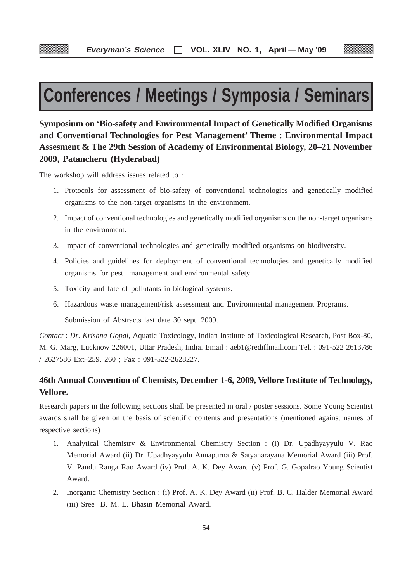# **Conferences / Meetings / Symposia / Seminars**

**Symposium on 'Bio-safety and Environmental Impact of Genetically Modified Organisms and Conventional Technologies for Pest Management' Theme : Environmental Impact Assesment & The 29th Session of Academy of Environmental Biology, 20–21 November 2009, Patancheru (Hyderabad)**

The workshop will address issues related to :

- 1. Protocols for assessment of bio-safety of conventional technologies and genetically modified organisms to the non-target organisms in the environment.
- 2. Impact of conventional technologies and genetically modified organisms on the non-target organisms in the environment.
- 3. Impact of conventional technologies and genetically modified organisms on biodiversity.
- 4. Policies and guidelines for deployment of conventional technologies and genetically modified organisms for pest management and environmental safety.
- 5. Toxicity and fate of pollutants in biological systems.
- 6. Hazardous waste management/risk assessment and Environmental management Programs.

Submission of Abstracts last date 30 sept. 2009.

*Contact* : *Dr. Krishna Gopal*, Aquatic Toxicology, Indian Institute of Toxicological Research, Post Box-80, M. G. Marg, Lucknow 226001, Uttar Pradesh, India. Email : aeb1@rediffmail.com Tel. : 091-522 2613786 / 2627586 Ext–259, 260 ; Fax : 091-522-2628227.

## **46th Annual Convention of Chemists, December 1-6, 2009, Vellore Institute of Technology, Vellore.**

Research papers in the following sections shall be presented in oral / poster sessions. Some Young Scientist awards shall be given on the basis of scientific contents and presentations (mentioned against names of respective sections)

- 1. Analytical Chemistry & Environmental Chemistry Section : (i) Dr. Upadhyayyulu V. Rao Memorial Award (ii) Dr. Upadhyayyulu Annapurna & Satyanarayana Memorial Award (iii) Prof. V. Pandu Ranga Rao Award (iv) Prof. A. K. Dey Award (v) Prof. G. Gopalrao Young Scientist Award.
- 2. Inorganic Chemistry Section : (i) Prof. A. K. Dey Award (ii) Prof. B. C. Halder Memorial Award (iii) Sree B. M. L. Bhasin Memorial Award.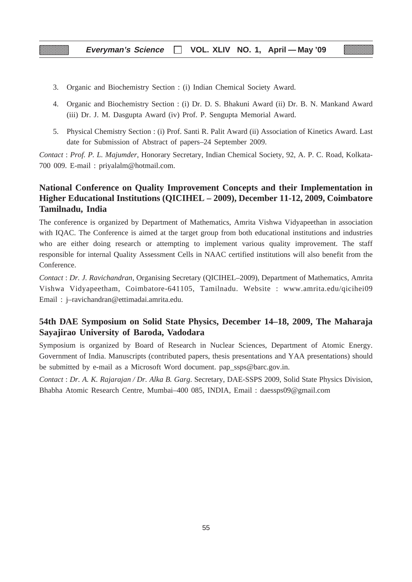#### **Everyman's Science VOL. XLIV NO. 1, April — May '09**

- 3. Organic and Biochemistry Section : (i) Indian Chemical Society Award.
- 4. Organic and Biochemistry Section : (i) Dr. D. S. Bhakuni Award (ii) Dr. B. N. Mankand Award (iii) Dr. J. M. Dasgupta Award (iv) Prof. P. Sengupta Memorial Award.
- 5. Physical Chemistry Section : (i) Prof. Santi R. Palit Award (ii) Association of Kinetics Award. Last date for Submission of Abstract of papers–24 September 2009.

*Contact* : *Prof. P. L. Majumder*, Honorary Secretary, Indian Chemical Society, 92, A. P. C. Road, Kolkata-700 009. E-mail : priyalalm@hotmail.com.

## **National Conference on Quality Improvement Concepts and their Implementation in Higher Educational Institutions (QICIHEL – 2009), December 11-12, 2009, Coimbatore Tamilnadu, India**

The conference is organized by Department of Mathematics, Amrita Vishwa Vidyapeethan in association with IQAC. The Conference is aimed at the target group from both educational institutions and industries who are either doing research or attempting to implement various quality improvement. The staff responsible for internal Quality Assessment Cells in NAAC certified institutions will also benefit from the Conference.

*Contact* : *Dr. J. Ravichandran*, Organising Secretary (QICIHEL–2009), Department of Mathematics, Amrita Vishwa Vidyapeetham, Coimbatore-641105, Tamilnadu. Website : www.amrita.edu/qicihei09 Email : j–ravichandran@ettimadai.amrita.edu.

#### **54th DAE Symposium on Solid State Physics, December 14–18, 2009, The Maharaja Sayajirao University of Baroda, Vadodara**

Symposium is organized by Board of Research in Nuclear Sciences, Department of Atomic Energy. Government of India. Manuscripts (contributed papers, thesis presentations and YAA presentations) should be submitted by e-mail as a Microsoft Word document. pap\_ssps@barc.gov.in.

*Contact* : *Dr. A. K. Rajarajan / Dr. Alka B. Garg*. Secretary, DAE-SSPS 2009, Solid State Physics Division, Bhabha Atomic Research Centre, Mumbai–400 085, INDIA, Email : daessps09@gmail.com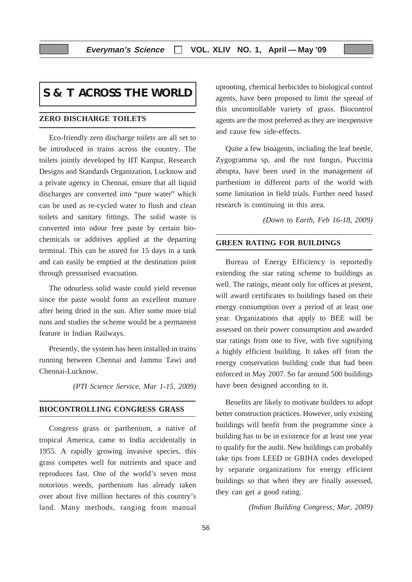## **S & T ACROSS THE WORLD**

#### **ZERO DISCHARGE TOILETS**

Eco-friendly zero discharge toilets are all set to be introduced in trains across the country. The toilets jointly developed by IIT Kanpur, Research Designs and Standards Organization, Lucknow and a private agency in Chennai, ensure that all liquid discharges are converted into "pure water" which can be used as re-cycled water to flush and clean toilets and sanitary fittings. The solid waste is converted into odour free paste by certain biochemicals or additives applied at the departing terminal. This can be stored for 15 days in a tank and can easily be emptied at the destination point through pressurised evacuation.

The odourless solid waste could yield revenue since the paste would form an excellent manure after being dried in the sun. After some more trial runs and studies the scheme would be a permanent feature in Indian Railways.

Presently, the system has been installed in trains running between Chennai and Jammu Tawi and Chennai-Lucknow.

*(PTI Science Service, Mar 1-15, 2009)*

#### **BIOCONTROLLING CONGRESS GRASS**

Congress grass or parthenium, a native of tropical America, came to India accidentally in 1955. A rapidly growing invasive species, this grass competes well for nutrients and space and reproduces fast. One of the world's seven most notorious weeds, parthenium has already taken over about five million hectares of this country's land. Many methods, ranging from manual

uprooting, chemical herbicides to biological control agents, have been proposed to limit the spread of this uncontrollable variety of grass. Biocontrol agents are the most preferred as they are inexpensive and cause few side-effects.

Quite a few bioagents, including the leaf beetle, Zygogramma sp, and the rust fungus, Puccinia abrupta, have been used in the management of parthenium in different parts of the world with some limitation in field trials. Further need based research is continuing in this area.

*(Down to Earth, Feb 16-18, 2009)*

#### **GREEN RATING FOR BUILDINGS**

Bureau of Energy Efficiency is reportedly extending the star rating scheme to buildings as well. The ratings, meant only for offices at present, will award certificates to buildings based on their energy consumption over a period of at least one year. Organizations that apply to BEE will be assessed on their power consumption and awarded star ratings from one to five, with five signifying a highly efficient building. It takes off from the energy conservation building code that had been enforced in May 2007. So far around 500 buildings have been designed according to it.

Benefits are likely to motivate builders to adopt better construction practices. However, only existing buildings will benfit from the programme since a building has to be in existence for at least one year to qualify for the audit. New buildings can probably take tips from LEED or GRIHA codes developed by separate organizations for energy efficient buildings so that when they are finally assessed, they can get a good rating.

*(Indian Building Congress, Mar, 2009)*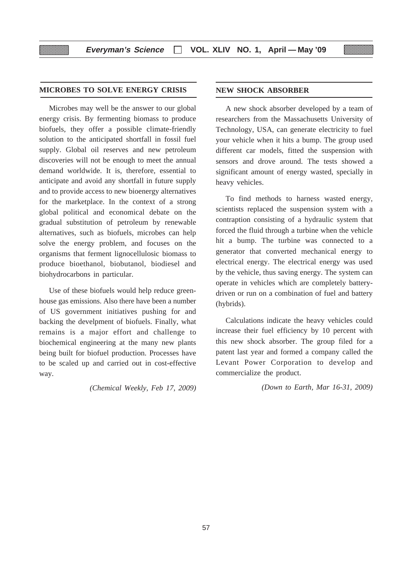#### **MICROBES TO SOLVE ENERGY CRISIS**

Microbes may well be the answer to our global energy crisis. By fermenting biomass to produce biofuels, they offer a possible climate-friendly solution to the anticipated shortfall in fossil fuel supply. Global oil reserves and new petroleum discoveries will not be enough to meet the annual demand worldwide. It is, therefore, essential to anticipate and avoid any shortfall in future supply and to provide access to new bioenergy alternatives for the marketplace. In the context of a strong global political and economical debate on the gradual substitution of petroleum by renewable alternatives, such as biofuels, microbes can help solve the energy problem, and focuses on the organisms that ferment lignocellulosic biomass to produce bioethanol, biobutanol, biodiesel and biohydrocarbons in particular.

Use of these biofuels would help reduce greenhouse gas emissions. Also there have been a number of US government initiatives pushing for and backing the develpment of biofuels. Finally, what remains is a major effort and challenge to biochemical engineering at the many new plants being built for biofuel production. Processes have to be scaled up and carried out in cost-effective way.

*(Chemical Weekly, Feb 17, 2009)*

#### **NEW SHOCK ABSORBER**

A new shock absorber developed by a team of researchers from the Massachusetts University of Technology, USA, can generate electricity to fuel your vehicle when it hits a bump. The group used different car models, fitted the suspension with sensors and drove around. The tests showed a significant amount of energy wasted, specially in heavy vehicles.

To find methods to harness wasted energy, scientists replaced the suspension system with a contraption consisting of a hydraulic system that forced the fluid through a turbine when the vehicle hit a bump. The turbine was connected to a generator that converted mechanical energy to electrical energy. The electrical energy was used by the vehicle, thus saving energy. The system can operate in vehicles which are completely batterydriven or run on a combination of fuel and battery (hybrids).

Calculations indicate the heavy vehicles could increase their fuel efficiency by 10 percent with this new shock absorber. The group filed for a patent last year and formed a company called the Levant Power Corporation to develop and commercialize the product.

*(Down to Earth, Mar 16-31, 2009)*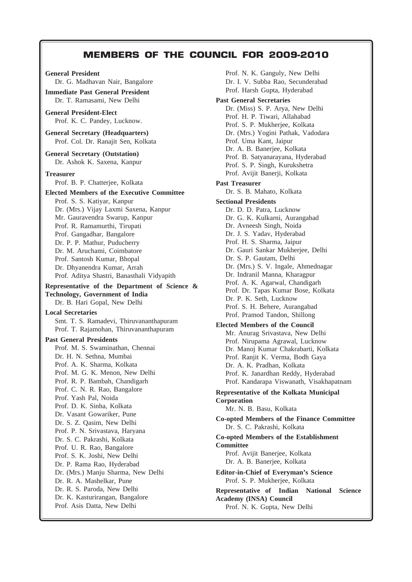## **MEMBERS OF THE COUNCIL FOR 2009-2010**

Dr. G. Madhavan Nair, Bangalore **Immediate Past General President** Dr. T. Ramasami, New Delhi **General President-Elect** Prof. K. C. Pandey, Lucknow. **General Secretary (Headquarters)** Prof. Col. Dr. Ranajit Sen, Kolkata **General Secretary (Outstation)** Dr. Ashok K. Saxena, Kanpur **Treasurer** Prof. B. P. Chatterjee, Kolkata **Elected Members of the Executive Committee** Prof. S. S. Katiyar, Kanpur Dr. (Mrs.) Vijay Laxmi Saxena, Kanpur Mr. Gauravendra Swarup, Kanpur Prof. R. Ramamurthi, Tirupati Prof. Gangadhar, Bangalore Dr. P. P. Mathur, Puducherry Dr. M. Aruchami, Coimbatore Prof. Santosh Kumar, Bhopal Dr. Dhyanendra Kumar, Arrah Prof. Aditya Shastri, Banasthali Vidyapith **Representative of the Department of Science & Technology, Government of India** Dr. B. Hari Gopal, New Delhi **Local Secretaries** Smt. T. S. Ramadevi, Thiruvananthapuram Prof. T. Rajamohan, Thiruvananthapuram **Past General Presidents** Prof. M. S. Swaminathan, Chennai Dr. H. N. Sethna, Mumbai Prof. A. K. Sharma, Kolkata Prof. M. G. K. Menon, New Delhi Prof. R. P. Bambah, Chandigarh Prof. C. N. R. Rao, Bangalore Prof. Yash Pal, Noida Prof. D. K. Sinha, Kolkata Dr. Vasant Gowariker, Pune Dr. S. Z. Qasim, New Delhi Prof. P. N. Srivastava, Haryana Dr. S. C. Pakrashi, Kolkata Prof. U. R. Rao, Bangalore Prof. S. K. Joshi, New Delhi Dr. P. Rama Rao, Hyderabad Dr. (Mrs.) Manju Sharma, New Delhi Dr. R. A. Mashelkar, Pune Dr. R. S. Paroda, New Delhi Dr. K. Kasturirangan, Bangalore Prof. Asis Datta, New Delhi

**General President**

Prof. N. K. Ganguly, New Delhi Dr. I. V. Subba Rao, Secunderabad Prof. Harsh Gupta, Hyderabad **Past General Secretaries** Dr. (Miss) S. P. Arya, New Delhi Prof. H. P. Tiwari, Allahabad Prof. S. P. Mukherjee, Kolkata Dr. (Mrs.) Yogini Pathak, Vadodara Prof. Uma Kant, Jaipur Dr. A. B. Banerjee, Kolkata Prof. B. Satyanarayana, Hyderabad Prof. S. P. Singh, Kurukshetra Prof. Avijit Banerji, Kolkata **Past Treasurer** Dr. S. B. Mahato, Kolkata **Sectional Presidents** Dr. D. D. Patra, Lucknow Dr. G. K. Kulkarni, Aurangabad Dr. Avneesh Singh, Noida Dr. J. S. Yadav, Hyderabad Prof. H. S. Sharma, Jaipur Dr. Gauri Sankar Mukherjee, Delhi Dr. S. P. Gautam, Delhi Dr. (Mrs.) S. V. Ingale, Ahmednagar Dr. Indranil Manna, Kharagpur Prof. A. K. Agarwal, Chandigarh Prof. Dr. Tapas Kumar Bose, Kolkata Dr. P. K. Seth, Lucknow Prof. S. H. Behere, Aurangabad Prof. Pramod Tandon, Shillong **Elected Members of the Council** Mr. Anurag Srivastava, New Delhi Prof. Nirupama Agrawal, Lucknow Dr. Manoj Kumar Chakrabarti, Kolkata Prof. Ranjit K. Verma, Bodh Gaya Dr. A. K. Pradhan, Kolkata Prof. K. Janardhan Reddy, Hyderabad Prof. Kandarapa Viswanath, Visakhapatnam **Representative of the Kolkata Municipal Corporation** Mr. N. B. Basu, Kolkata **Co-opted Members of the Finance Committee** Dr. S. C. Pakrashi, Kolkata **Co-opted Members of the Establishment Committee** Prof. Avijit Banerjee, Kolkata Dr. A. B. Banerjee, Kolkata **Editor-in-Chief of Everyman's Science** Prof. S. P. Mukherjee, Kolkata **Representative of Indian National Science Academy (INSA) Council** Prof. N. K. Gupta, New Delhi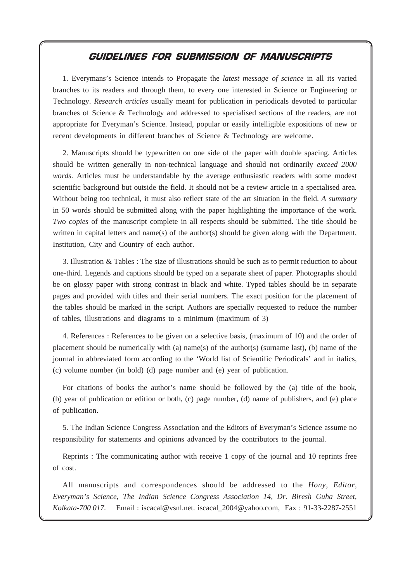## **GUIDELINES FOR SUBMISSION OF MANUSCRIPTS**

1. Everymans's Science intends to Propagate the *latest message of science* in all its varied branches to its readers and through them, to every one interested in Science or Engineering or Technology. *Research articles* usually meant for publication in periodicals devoted to particular branches of Science & Technology and addressed to specialised sections of the readers, are not appropriate for Everyman's Science. Instead, popular or easily intelligible expositions of new or recent developments in different branches of Science & Technology are welcome.

2. Manuscripts should be typewritten on one side of the paper with double spacing. Articles should be written generally in non-technical language and should not ordinarily *exceed 2000 words.* Articles must be understandable by the average enthusiastic readers with some modest scientific background but outside the field. It should not be a review article in a specialised area. Without being too technical, it must also reflect state of the art situation in the field. *A summary* in 50 words should be submitted along with the paper highlighting the importance of the work. *Two copies* of the manuscript complete in all respects should be submitted. The title should be written in capital letters and name(s) of the author(s) should be given along with the Department, Institution, City and Country of each author.

3. Illustration & Tables : The size of illustrations should be such as to permit reduction to about one-third. Legends and captions should be typed on a separate sheet of paper. Photographs should be on glossy paper with strong contrast in black and white. Typed tables should be in separate pages and provided with titles and their serial numbers. The exact position for the placement of the tables should be marked in the script. Authors are specially requested to reduce the number of tables, illustrations and diagrams to a minimum (maximum of 3)

4. References : References to be given on a selective basis, (maximum of 10) and the order of placement should be numerically with (a) name(s) of the author(s) (surname last), (b) name of the journal in abbreviated form according to the 'World list of Scientific Periodicals' and in italics, (c) volume number (in bold) (d) page number and (e) year of publication.

For citations of books the author's name should be followed by the (a) title of the book, (b) year of publication or edition or both, (c) page number, (d) name of publishers, and (e) place of publication.

5. The Indian Science Congress Association and the Editors of Everyman's Science assume no responsibility for statements and opinions advanced by the contributors to the journal.

Reprints : The communicating author with receive 1 copy of the journal and 10 reprints free of cost.

All manuscripts and correspondences should be addressed to the *Hony, Editor, Everyman's Science, The Indian Science Congress Association 14, Dr. Biresh Guha Street, Kolkata-700 017.* Email : iscacal@vsnl.net. iscacal\_2004@yahoo.com, Fax : 91-33-2287-2551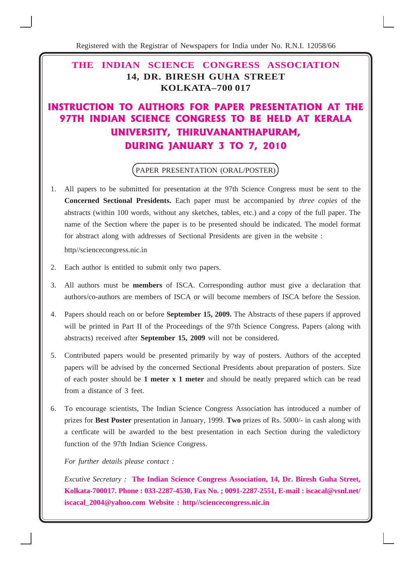Registered with the Registrar of Newspapers for India under No. R.N.I. 12058/66

## **THE INDIAN SCIENCE CONGRESS ASSOCIATION 14, DR. BIRESH GUHA STREET KOLKATA–700 017**

## INSTRUCTION TO AUTHORS FOR PAPER PRESENTATION AT THE 97TH INDIAN SCIENCE CONGRESS TO BE HELD AT KERALA UNIVERSITY, THIRUVANANTHAPURAM, DURING JANUARY 3 TO 7, 2010

## PAPER PRESENTATION (ORAL/POSTER)

- 1. All papers to be submitted for presentation at the 97th Science Congress must be sent to the **Concerned Sectional Presidents.** Each paper must be accompanied by *three copies* of the abstracts (within 100 words, without any sketches, tables, etc.) and a copy of the full paper. The name of the Section where the paper is to be presented should be indicated. The model format for abstract along with addresses of Sectional Presidents are given in the website : http//sciencecongress.nic.in
- 2. Each author is entitled to submit only two papers.
- 3. All authors must be **members** of ISCA. Corresponding author must give a declaration that authors/co-authors are members of ISCA or will become members of ISCA before the Session.
- 4. Papers should reach on or before **September 15, 2009.** The Abstracts of these papers if approved will be printed in Part II of the Proceedings of the 97th Science Congress. Papers (along with abstracts) received after **September 15, 2009** will not be considered.
- 5. Contributed papers would be presented primarily by way of posters. Authors of the accepted papers will be advised by the concerned Sectional Presidents about preparation of posters. Size of each poster should be **1 meter x 1 meter** and should be neatly prepared which can be read from a distance of 3 feet.
- 6. To encourage scientists, The Indian Science Congress Association has introduced a number of prizes for **Best Poster** presentation in January, 1999. **Two** prizes of Rs. 5000/- in cash along with a certficate will be awarded to the best presentation in each Section during the valedictory function of the 97th Indian Science Congress.

*For further details please contact :*

*Excutive Secretary :* **The Indian Science Congress Association, 14, Dr. Biresh Guha Street, Kolkata-700017. Phone : 033-2287-4530, Fax No. ; 0091-2287-2551, E-mail : iscacal@vsnl.net/ iscacal\_2004@yahoo.com Website : http//sciencecongress.nic.in**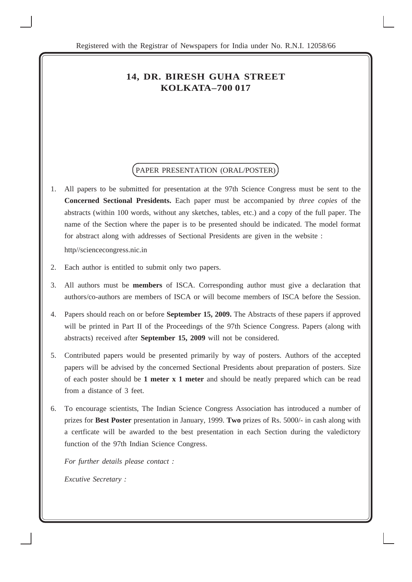## **14, DR. BIRESH GUHA STREET KOLKATA–700 017**

#### PAPER PRESENTATION (ORAL/POSTER)

- 1. All papers to be submitted for presentation at the 97th Science Congress must be sent to the **Concerned Sectional Presidents.** Each paper must be accompanied by *three copies* of the abstracts (within 100 words, without any sketches, tables, etc.) and a copy of the full paper. The name of the Section where the paper is to be presented should be indicated. The model format for abstract along with addresses of Sectional Presidents are given in the website : http//sciencecongress.nic.in
- 2. Each author is entitled to submit only two papers.
- 3. All authors must be **members** of ISCA. Corresponding author must give a declaration that authors/co-authors are members of ISCA or will become members of ISCA before the Session.
- 4. Papers should reach on or before **September 15, 2009.** The Abstracts of these papers if approved will be printed in Part II of the Proceedings of the 97th Science Congress. Papers (along with abstracts) received after **September 15, 2009** will not be considered.
- 5. Contributed papers would be presented primarily by way of posters. Authors of the accepted papers will be advised by the concerned Sectional Presidents about preparation of posters. Size of each poster should be **1 meter x 1 meter** and should be neatly prepared which can be read from a distance of 3 feet.
- 6. To encourage scientists, The Indian Science Congress Association has introduced a number of prizes for **Best Poster** presentation in January, 1999. **Two** prizes of Rs. 5000/- in cash along with a certficate will be awarded to the best presentation in each Section during the valedictory function of the 97th Indian Science Congress.

*For further details please contact : Excutive Secretary :*